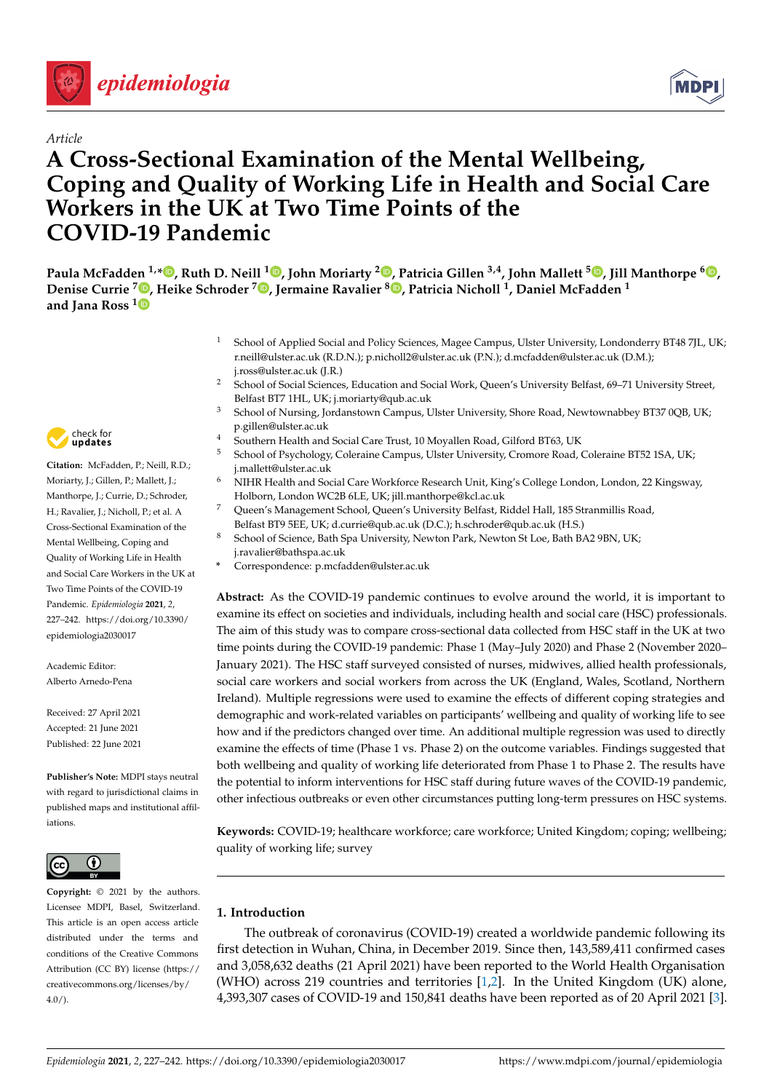

# *Article*

# **A Cross-Sectional Examination of the Mental Wellbeing, Coping and Quality of Working Life in Health and Social Care Workers in the UK at Two Time Points of the COVID-19 Pandemic**

Paula McFadden <sup>1[,](https://orcid.org/0000-0001-9006-1410)</sup>\*®, Ruth D. Neill <sup>1</sup>®, John Moriarty <sup>2</sup>®, Patricia Gillen <sup>3,4</sup>, John Mallett <sup>5</sup>®, Jill Manthorpe <sup>6</sup>®, **Denise Currie <sup>7</sup> [,](https://orcid.org/0000-0003-2002-0407) Heike Schroder <sup>7</sup> [,](https://orcid.org/0000-0001-8973-7954) Jermaine Ravalier <sup>8</sup> [,](https://orcid.org/0000-0002-8418-4841) Patricia Nicholl <sup>1</sup> , Daniel McFadden <sup>1</sup> and Jana Ross [1](https://orcid.org/0000-0003-2794-1268)**

- <sup>1</sup> School of Applied Social and Policy Sciences, Magee Campus, Ulster University, Londonderry BT48 7JL, UK; r.neill@ulster.ac.uk (R.D.N.); p.nicholl2@ulster.ac.uk (P.N.); d.mcfadden@ulster.ac.uk (D.M.); j.ross@ulster.ac.uk (J.R.)
- <sup>2</sup> School of Social Sciences, Education and Social Work, Queen's University Belfast, 69–71 University Street, Belfast BT7 1HL, UK; j.moriarty@qub.ac.uk
- <sup>3</sup> School of Nursing, Jordanstown Campus, Ulster University, Shore Road, Newtownabbey BT37 0QB, UK; p.gillen@ulster.ac.uk
- <sup>4</sup> Southern Health and Social Care Trust, 10 Moyallen Road, Gilford BT63, UK<br>5. Seksal of Brushela see Calancine Company Ulater University Company Raad
- <sup>5</sup> School of Psychology, Coleraine Campus, Ulster University, Cromore Road, Coleraine BT52 1SA, UK; j.mallett@ulster.ac.uk
- <sup>6</sup> NIHR Health and Social Care Workforce Research Unit, King's College London, London, 22 Kingsway, Holborn, London WC2B 6LE, UK; jill.manthorpe@kcl.ac.uk
- <sup>7</sup> Queen's Management School, Queen's University Belfast, Riddel Hall, 185 Stranmillis Road,
- Belfast BT9 5EE, UK; d.currie@qub.ac.uk (D.C.); h.schroder@qub.ac.uk (H.S.)
- <sup>8</sup> School of Science, Bath Spa University, Newton Park, Newton St Loe, Bath BA2 9BN, UK;
	- j.ravalier@bathspa.ac.uk
	- **\*** Correspondence: p.mcfadden@ulster.ac.uk

**Abstract:** As the COVID-19 pandemic continues to evolve around the world, it is important to examine its effect on societies and individuals, including health and social care (HSC) professionals. The aim of this study was to compare cross-sectional data collected from HSC staff in the UK at two time points during the COVID-19 pandemic: Phase 1 (May–July 2020) and Phase 2 (November 2020– January 2021). The HSC staff surveyed consisted of nurses, midwives, allied health professionals, social care workers and social workers from across the UK (England, Wales, Scotland, Northern Ireland). Multiple regressions were used to examine the effects of different coping strategies and demographic and work-related variables on participants' wellbeing and quality of working life to see how and if the predictors changed over time. An additional multiple regression was used to directly examine the effects of time (Phase 1 vs. Phase 2) on the outcome variables. Findings suggested that both wellbeing and quality of working life deteriorated from Phase 1 to Phase 2. The results have the potential to inform interventions for HSC staff during future waves of the COVID-19 pandemic, other infectious outbreaks or even other circumstances putting long-term pressures on HSC systems.

**Keywords:** COVID-19; healthcare workforce; care workforce; United Kingdom; coping; wellbeing; quality of working life; survey

# **1. Introduction**

The outbreak of coronavirus (COVID-19) created a worldwide pandemic following its first detection in Wuhan, China, in December 2019. Since then, 143,589,411 confirmed cases and 3,058,632 deaths (21 April 2021) have been reported to the World Health Organisation (WHO) across 219 countries and territories [\[1,](#page-11-0)[2\]](#page-11-1). In the United Kingdom (UK) alone, 4,393,307 cases of COVID-19 and 150,841 deaths have been reported as of 20 April 2021 [\[3\]](#page-11-2).



**Citation:** McFadden, P.; Neill, R.D.; Moriarty, J.; Gillen, P.; Mallett, J.; Manthorpe, J.; Currie, D.; Schroder, H.; Ravalier, J.; Nicholl, P.; et al. A Cross-Sectional Examination of the Mental Wellbeing, Coping and Quality of Working Life in Health and Social Care Workers in the UK at Two Time Points of the COVID-19 Pandemic. *Epidemiologia* **2021**, *2*, 227–242. [https://doi.org/10.3390/](https://doi.org/10.3390/epidemiologia2030017) [epidemiologia2030017](https://doi.org/10.3390/epidemiologia2030017)

Academic Editor: Alberto Arnedo-Pena

Received: 27 April 2021 Accepted: 21 June 2021 Published: 22 June 2021

**Publisher's Note:** MDPI stays neutral with regard to jurisdictional claims in published maps and institutional affiliations.



**Copyright:** © 2021 by the authors. Licensee MDPI, Basel, Switzerland. This article is an open access article distributed under the terms and conditions of the Creative Commons Attribution (CC BY) license (https:/[/](https://creativecommons.org/licenses/by/4.0/) [creativecommons.org/licenses/by/](https://creativecommons.org/licenses/by/4.0/) 4.0/).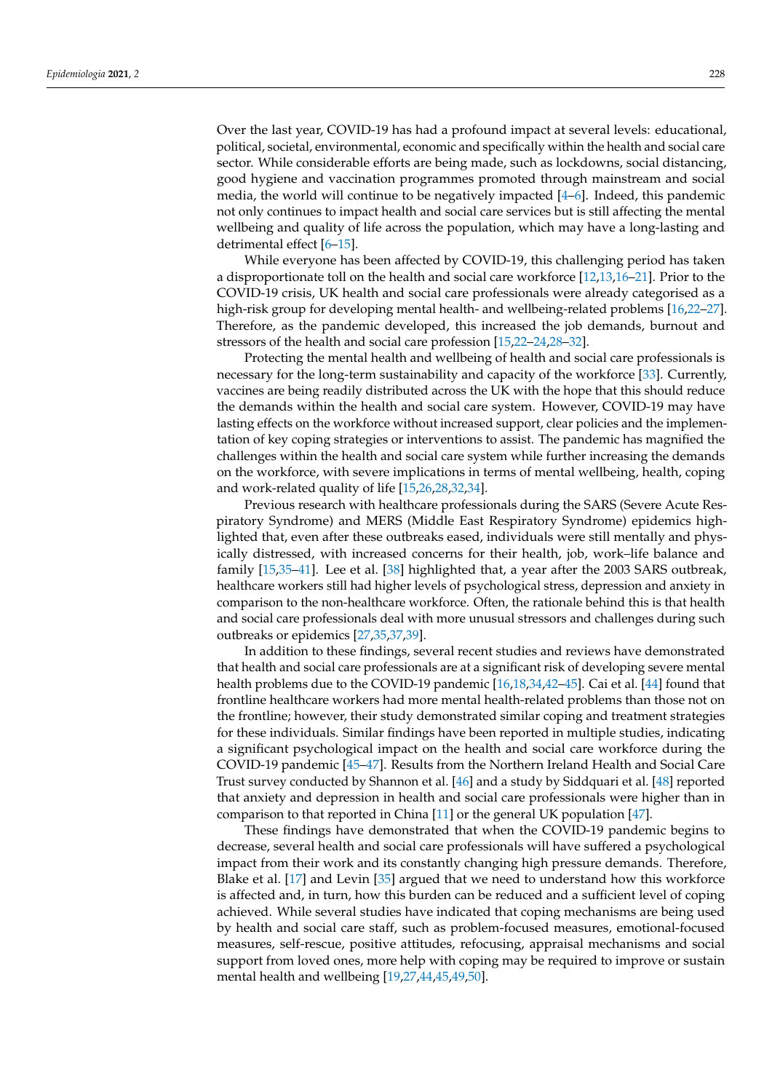Over the last year, COVID-19 has had a profound impact at several levels: educational, political, societal, environmental, economic and specifically within the health and social care sector. While considerable efforts are being made, such as lockdowns, social distancing, good hygiene and vaccination programmes promoted through mainstream and social media, the world will continue to be negatively impacted [\[4](#page-11-3)[–6\]](#page-12-0). Indeed, this pandemic not only continues to impact health and social care services but is still affecting the mental wellbeing and quality of life across the population, which may have a long-lasting and detrimental effect [\[6–](#page-12-0)[15\]](#page-12-1).

While everyone has been affected by COVID-19, this challenging period has taken a disproportionate toll on the health and social care workforce [\[12](#page-12-2)[,13](#page-12-3)[,16–](#page-12-4)[21\]](#page-12-5). Prior to the COVID-19 crisis, UK health and social care professionals were already categorised as a high-risk group for developing mental health- and wellbeing-related problems [\[16](#page-12-4)[,22](#page-12-6)[–27\]](#page-12-7). Therefore, as the pandemic developed, this increased the job demands, burnout and stressors of the health and social care profession [\[15,](#page-12-1)[22–](#page-12-6)[24,](#page-12-8)[28–](#page-12-9)[32\]](#page-13-0).

Protecting the mental health and wellbeing of health and social care professionals is necessary for the long-term sustainability and capacity of the workforce [\[33\]](#page-13-1). Currently, vaccines are being readily distributed across the UK with the hope that this should reduce the demands within the health and social care system. However, COVID-19 may have lasting effects on the workforce without increased support, clear policies and the implementation of key coping strategies or interventions to assist. The pandemic has magnified the challenges within the health and social care system while further increasing the demands on the workforce, with severe implications in terms of mental wellbeing, health, coping and work-related quality of life [\[15,](#page-12-1)[26,](#page-12-10)[28,](#page-12-9)[32,](#page-13-0)[34\]](#page-13-2).

Previous research with healthcare professionals during the SARS (Severe Acute Respiratory Syndrome) and MERS (Middle East Respiratory Syndrome) epidemics highlighted that, even after these outbreaks eased, individuals were still mentally and physically distressed, with increased concerns for their health, job, work–life balance and family [\[15,](#page-12-1)[35](#page-13-3)[–41\]](#page-13-4). Lee et al. [\[38\]](#page-13-5) highlighted that, a year after the 2003 SARS outbreak, healthcare workers still had higher levels of psychological stress, depression and anxiety in comparison to the non-healthcare workforce. Often, the rationale behind this is that health and social care professionals deal with more unusual stressors and challenges during such outbreaks or epidemics [\[27,](#page-12-7)[35,](#page-13-3)[37,](#page-13-6)[39\]](#page-13-7).

In addition to these findings, several recent studies and reviews have demonstrated that health and social care professionals are at a significant risk of developing severe mental health problems due to the COVID-19 pandemic [\[16](#page-12-4)[,18,](#page-12-11)[34,](#page-13-2)[42](#page-13-8)[–45\]](#page-13-9). Cai et al. [\[44\]](#page-13-10) found that frontline healthcare workers had more mental health-related problems than those not on the frontline; however, their study demonstrated similar coping and treatment strategies for these individuals. Similar findings have been reported in multiple studies, indicating a significant psychological impact on the health and social care workforce during the COVID-19 pandemic [\[45](#page-13-9)[–47\]](#page-13-11). Results from the Northern Ireland Health and Social Care Trust survey conducted by Shannon et al. [\[46\]](#page-13-12) and a study by Siddquari et al. [\[48\]](#page-13-13) reported that anxiety and depression in health and social care professionals were higher than in comparison to that reported in China [\[11\]](#page-12-12) or the general UK population [\[47\]](#page-13-11).

These findings have demonstrated that when the COVID-19 pandemic begins to decrease, several health and social care professionals will have suffered a psychological impact from their work and its constantly changing high pressure demands. Therefore, Blake et al. [\[17\]](#page-12-13) and Levin [\[35\]](#page-13-3) argued that we need to understand how this workforce is affected and, in turn, how this burden can be reduced and a sufficient level of coping achieved. While several studies have indicated that coping mechanisms are being used by health and social care staff, such as problem-focused measures, emotional-focused measures, self-rescue, positive attitudes, refocusing, appraisal mechanisms and social support from loved ones, more help with coping may be required to improve or sustain mental health and wellbeing [\[19](#page-12-14)[,27,](#page-12-7)[44,](#page-13-10)[45,](#page-13-9)[49,](#page-13-14)[50\]](#page-13-15).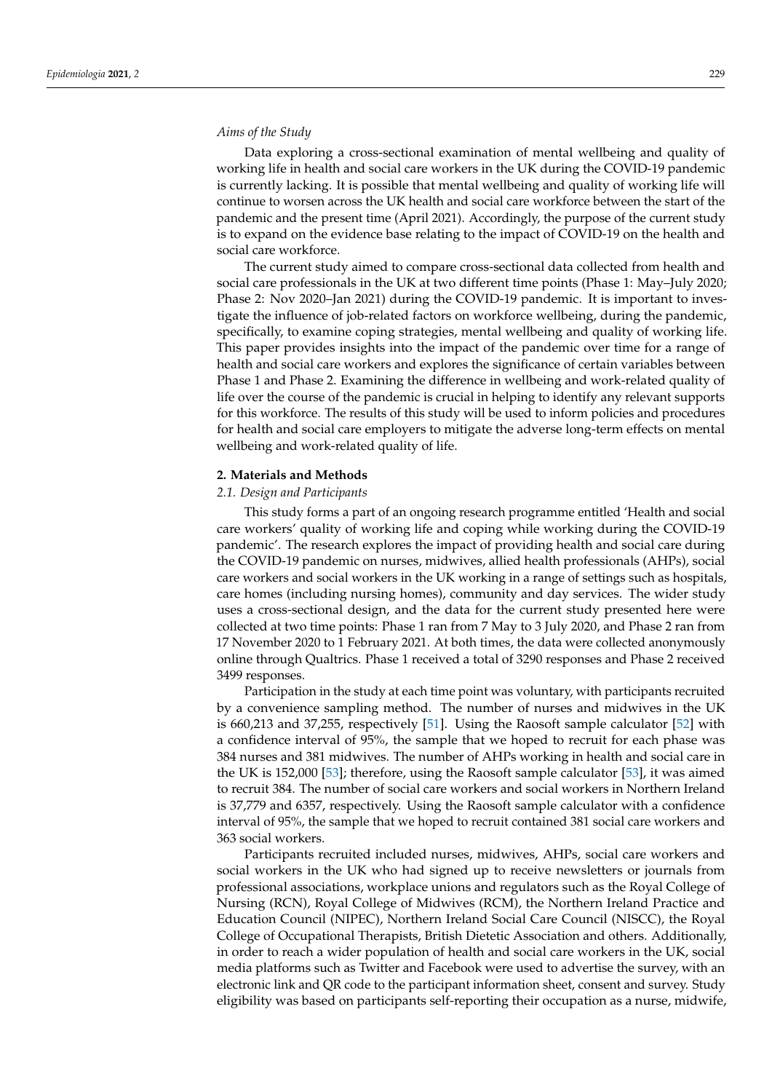# *Aims of the Study*

Data exploring a cross-sectional examination of mental wellbeing and quality of working life in health and social care workers in the UK during the COVID-19 pandemic is currently lacking. It is possible that mental wellbeing and quality of working life will continue to worsen across the UK health and social care workforce between the start of the pandemic and the present time (April 2021). Accordingly, the purpose of the current study is to expand on the evidence base relating to the impact of COVID-19 on the health and social care workforce.

The current study aimed to compare cross-sectional data collected from health and social care professionals in the UK at two different time points (Phase 1: May–July 2020; Phase 2: Nov 2020–Jan 2021) during the COVID-19 pandemic. It is important to investigate the influence of job-related factors on workforce wellbeing, during the pandemic, specifically, to examine coping strategies, mental wellbeing and quality of working life. This paper provides insights into the impact of the pandemic over time for a range of health and social care workers and explores the significance of certain variables between Phase 1 and Phase 2. Examining the difference in wellbeing and work-related quality of life over the course of the pandemic is crucial in helping to identify any relevant supports for this workforce. The results of this study will be used to inform policies and procedures for health and social care employers to mitigate the adverse long-term effects on mental wellbeing and work-related quality of life.

#### **2. Materials and Methods**

### *2.1. Design and Participants*

This study forms a part of an ongoing research programme entitled 'Health and social care workers' quality of working life and coping while working during the COVID-19 pandemic'. The research explores the impact of providing health and social care during the COVID-19 pandemic on nurses, midwives, allied health professionals (AHPs), social care workers and social workers in the UK working in a range of settings such as hospitals, care homes (including nursing homes), community and day services. The wider study uses a cross-sectional design, and the data for the current study presented here were collected at two time points: Phase 1 ran from 7 May to 3 July 2020, and Phase 2 ran from 17 November 2020 to 1 February 2021. At both times, the data were collected anonymously online through Qualtrics. Phase 1 received a total of 3290 responses and Phase 2 received 3499 responses.

Participation in the study at each time point was voluntary, with participants recruited by a convenience sampling method. The number of nurses and midwives in the UK is 660,213 and 37,255, respectively [\[51\]](#page-13-16). Using the Raosoft sample calculator [\[52\]](#page-13-17) with a confidence interval of 95%, the sample that we hoped to recruit for each phase was 384 nurses and 381 midwives. The number of AHPs working in health and social care in the UK is 152,000 [\[53\]](#page-13-18); therefore, using the Raosoft sample calculator [\[53\]](#page-13-18), it was aimed to recruit 384. The number of social care workers and social workers in Northern Ireland is 37,779 and 6357, respectively. Using the Raosoft sample calculator with a confidence interval of 95%, the sample that we hoped to recruit contained 381 social care workers and 363 social workers.

Participants recruited included nurses, midwives, AHPs, social care workers and social workers in the UK who had signed up to receive newsletters or journals from professional associations, workplace unions and regulators such as the Royal College of Nursing (RCN), Royal College of Midwives (RCM), the Northern Ireland Practice and Education Council (NIPEC), Northern Ireland Social Care Council (NISCC), the Royal College of Occupational Therapists, British Dietetic Association and others. Additionally, in order to reach a wider population of health and social care workers in the UK, social media platforms such as Twitter and Facebook were used to advertise the survey, with an electronic link and QR code to the participant information sheet, consent and survey. Study eligibility was based on participants self-reporting their occupation as a nurse, midwife,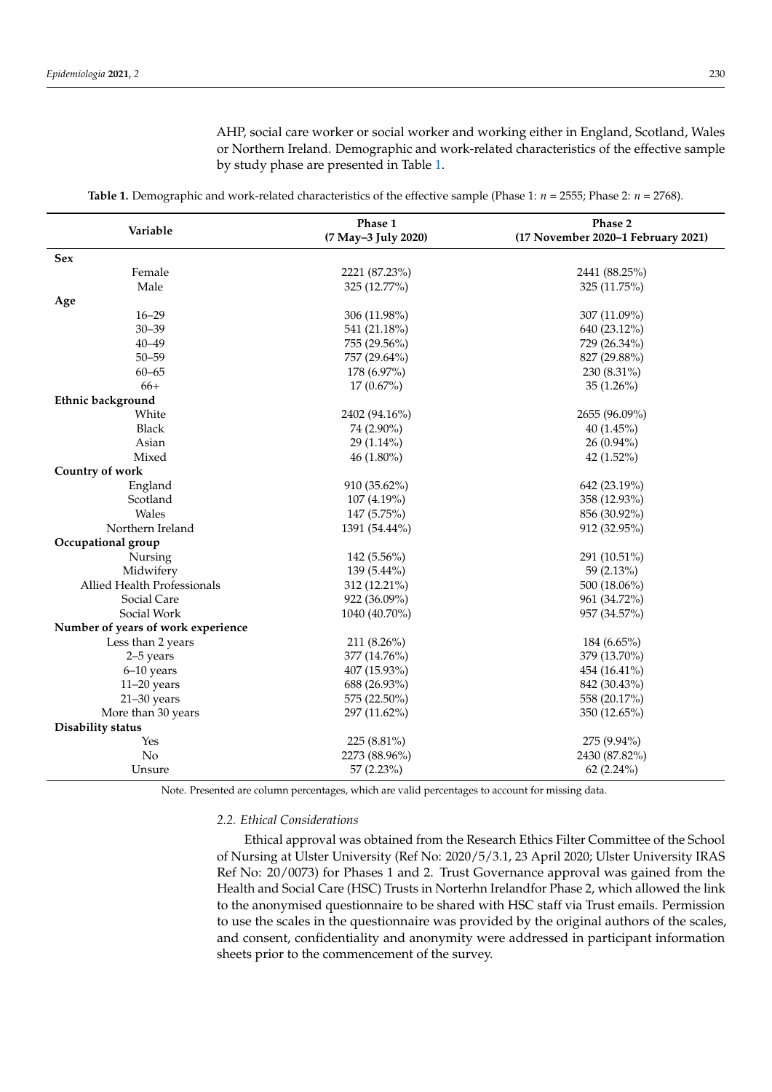AHP, social care worker or social worker and working either in England, Scotland, Wales or Northern Ireland. Demographic and work-related characteristics of the effective sample by study phase are presented in Table [1.](#page-3-0)

<span id="page-3-0"></span>

| Variable                           | Phase 1<br>(7 May-3 July 2020) | Phase 2<br>(17 November 2020-1 February 2021) |  |  |
|------------------------------------|--------------------------------|-----------------------------------------------|--|--|
| Sex                                |                                |                                               |  |  |
| Female                             | 2221 (87.23%)                  | 2441 (88.25%)                                 |  |  |
| Male                               | 325 (12.77%)                   | 325 (11.75%)                                  |  |  |
| Age                                |                                |                                               |  |  |
| $16 - 29$                          | 306 (11.98%)                   | 307 (11.09%)                                  |  |  |
| $30 - 39$                          | 541 (21.18%)                   | 640 (23.12%)                                  |  |  |
| $40 - 49$                          | 755 (29.56%)                   | 729 (26.34%)                                  |  |  |
| $50 - 59$                          | 757 (29.64%)                   | 827 (29.88%)                                  |  |  |
| $60 - 65$                          | 178 (6.97%)                    | $230(8.31\%)$                                 |  |  |
| $66+$                              | 17 (0.67%)                     | $35(1.26\%)$                                  |  |  |
| Ethnic background                  |                                |                                               |  |  |
| White                              | 2402 (94.16%)                  | 2655 (96.09%)                                 |  |  |
| <b>Black</b>                       | 74 (2.90%)                     | 40 (1.45%)                                    |  |  |
| Asian                              | $29(1.14\%)$                   | $26(0.94\%)$                                  |  |  |
| Mixed                              | $46(1.80\%)$                   | 42 $(1.52\%)$                                 |  |  |
| Country of work                    |                                |                                               |  |  |
| England                            | 910 (35.62%)                   | 642 (23.19%)                                  |  |  |
| Scotland                           | 107 (4.19%)                    | 358 (12.93%)                                  |  |  |
| Wales                              | 147 (5.75%)                    | 856 (30.92%)                                  |  |  |
| Northern Ireland                   | 1391 (54.44%)                  | 912 (32.95%)                                  |  |  |
| Occupational group                 |                                |                                               |  |  |
| Nursing                            | 142 (5.56%)                    | 291 (10.51%)                                  |  |  |
| Midwifery                          | 139 (5.44%)                    | 59 (2.13%)                                    |  |  |
| Allied Health Professionals        | 312 (12.21%)                   | 500 (18.06%)                                  |  |  |
| Social Care                        | 922 (36.09%)                   | 961 (34.72%)                                  |  |  |
| Social Work                        | 1040 (40.70%)                  | 957 (34.57%)                                  |  |  |
| Number of years of work experience |                                |                                               |  |  |
| Less than 2 years                  | 211 (8.26%)                    | $184(6.65\%)$                                 |  |  |
| 2-5 years                          | 377 (14.76%)                   | 379 (13.70%)                                  |  |  |
| $6-10$ years                       | 407 (15.93%)                   | 454 (16.41%)                                  |  |  |
| $11-20$ years                      | 688 (26.93%)                   | 842 (30.43%)                                  |  |  |
| $21 - 30$ years                    | 575 (22.50%)                   | 558 (20.17%)                                  |  |  |
| More than 30 years                 | 297 (11.62%)                   | 350 (12.65%)                                  |  |  |
| Disability status                  |                                |                                               |  |  |
| Yes                                | 225 (8.81%)                    | 275 (9.94%)                                   |  |  |
| No                                 | 2273 (88.96%)                  | 2430 (87.82%)                                 |  |  |
| Unsure                             | 57 (2.23%)                     | 62(2.24%)                                     |  |  |

**Table 1.** Demographic and work-related characteristics of the effective sample (Phase 1: *n* = 2555; Phase 2: *n* = 2768).

Note. Presented are column percentages, which are valid percentages to account for missing data.

# *2.2. Ethical Considerations*

Ethical approval was obtained from the Research Ethics Filter Committee of the School of Nursing at Ulster University (Ref No: 2020/5/3.1, 23 April 2020; Ulster University IRAS Ref No: 20/0073) for Phases 1 and 2. Trust Governance approval was gained from the Health and Social Care (HSC) Trusts in Norterhn Irelandfor Phase 2, which allowed the link to the anonymised questionnaire to be shared with HSC staff via Trust emails. Permission to use the scales in the questionnaire was provided by the original authors of the scales, and consent, confidentiality and anonymity were addressed in participant information sheets prior to the commencement of the survey.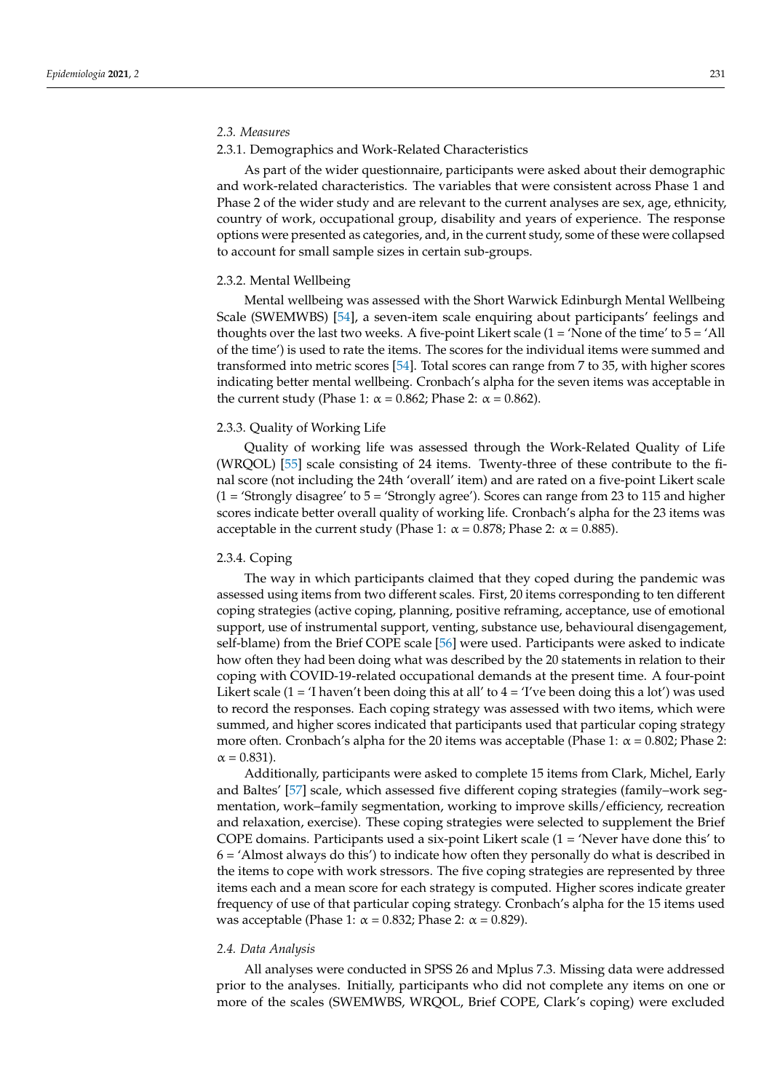# *2.3. Measures*

#### 2.3.1. Demographics and Work-Related Characteristics

As part of the wider questionnaire, participants were asked about their demographic and work-related characteristics. The variables that were consistent across Phase 1 and Phase 2 of the wider study and are relevant to the current analyses are sex, age, ethnicity, country of work, occupational group, disability and years of experience. The response options were presented as categories, and, in the current study, some of these were collapsed to account for small sample sizes in certain sub-groups.

#### 2.3.2. Mental Wellbeing

Mental wellbeing was assessed with the Short Warwick Edinburgh Mental Wellbeing Scale (SWEMWBS) [\[54\]](#page-13-19), a seven-item scale enquiring about participants' feelings and thoughts over the last two weeks. A five-point Likert scale  $(1 = 'None of the time' to 5 = 'All'$ of the time') is used to rate the items. The scores for the individual items were summed and transformed into metric scores [\[54\]](#page-13-19). Total scores can range from 7 to 35, with higher scores indicating better mental wellbeing. Cronbach's alpha for the seven items was acceptable in the current study (Phase 1:  $\alpha$  = 0.862; Phase 2:  $\alpha$  = 0.862).

#### 2.3.3. Quality of Working Life

Quality of working life was assessed through the Work-Related Quality of Life (WRQOL) [\[55\]](#page-13-20) scale consisting of 24 items. Twenty-three of these contribute to the final score (not including the 24th 'overall' item) and are rated on a five-point Likert scale (1 = 'Strongly disagree' to 5 = 'Strongly agree'). Scores can range from 23 to 115 and higher scores indicate better overall quality of working life. Cronbach's alpha for the 23 items was acceptable in the current study (Phase 1:  $\alpha = 0.878$ ; Phase 2:  $\alpha = 0.885$ ).

#### 2.3.4. Coping

The way in which participants claimed that they coped during the pandemic was assessed using items from two different scales. First, 20 items corresponding to ten different coping strategies (active coping, planning, positive reframing, acceptance, use of emotional support, use of instrumental support, venting, substance use, behavioural disengagement, self-blame) from the Brief COPE scale [\[56\]](#page-13-21) were used. Participants were asked to indicate how often they had been doing what was described by the 20 statements in relation to their coping with COVID-19-related occupational demands at the present time. A four-point Likert scale (1 = 'I haven't been doing this at all' to  $4 =$  'I've been doing this a lot') was used to record the responses. Each coping strategy was assessed with two items, which were summed, and higher scores indicated that participants used that particular coping strategy more often. Cronbach's alpha for the 20 items was acceptable (Phase 1:  $\alpha$  = 0.802; Phase 2:  $\alpha = 0.831$ ).

Additionally, participants were asked to complete 15 items from Clark, Michel, Early and Baltes' [\[57\]](#page-14-0) scale, which assessed five different coping strategies (family–work segmentation, work–family segmentation, working to improve skills/efficiency, recreation and relaxation, exercise). These coping strategies were selected to supplement the Brief COPE domains. Participants used a six-point Likert scale  $(1 = 'Never)$  have done this' to  $6 = 4$ lmost always do this') to indicate how often they personally do what is described in the items to cope with work stressors. The five coping strategies are represented by three items each and a mean score for each strategy is computed. Higher scores indicate greater frequency of use of that particular coping strategy. Cronbach's alpha for the 15 items used was acceptable (Phase 1:  $\alpha$  = 0.832; Phase 2:  $\alpha$  = 0.829).

#### *2.4. Data Analysis*

All analyses were conducted in SPSS 26 and Mplus 7.3. Missing data were addressed prior to the analyses. Initially, participants who did not complete any items on one or more of the scales (SWEMWBS, WRQOL, Brief COPE, Clark's coping) were excluded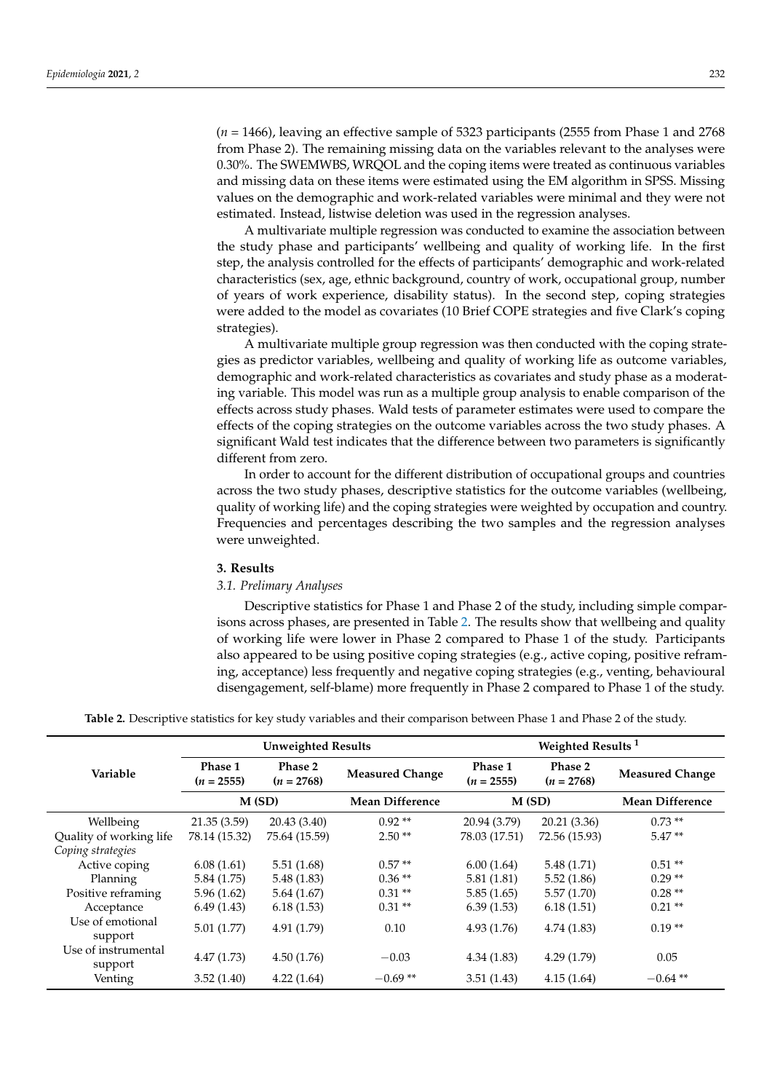(*n* = 1466), leaving an effective sample of 5323 participants (2555 from Phase 1 and 2768 from Phase 2). The remaining missing data on the variables relevant to the analyses were 0.30%. The SWEMWBS, WRQOL and the coping items were treated as continuous variables and missing data on these items were estimated using the EM algorithm in SPSS. Missing values on the demographic and work-related variables were minimal and they were not estimated. Instead, listwise deletion was used in the regression analyses.

A multivariate multiple regression was conducted to examine the association between the study phase and participants' wellbeing and quality of working life. In the first step, the analysis controlled for the effects of participants' demographic and work-related characteristics (sex, age, ethnic background, country of work, occupational group, number of years of work experience, disability status). In the second step, coping strategies were added to the model as covariates (10 Brief COPE strategies and five Clark's coping strategies).

A multivariate multiple group regression was then conducted with the coping strategies as predictor variables, wellbeing and quality of working life as outcome variables, demographic and work-related characteristics as covariates and study phase as a moderating variable. This model was run as a multiple group analysis to enable comparison of the effects across study phases. Wald tests of parameter estimates were used to compare the effects of the coping strategies on the outcome variables across the two study phases. A significant Wald test indicates that the difference between two parameters is significantly different from zero.

In order to account for the different distribution of occupational groups and countries across the two study phases, descriptive statistics for the outcome variables (wellbeing, quality of working life) and the coping strategies were weighted by occupation and country. Frequencies and percentages describing the two samples and the regression analyses were unweighted.

# **3. Results**

#### *3.1. Prelimary Analyses*

Descriptive statistics for Phase 1 and Phase 2 of the study, including simple comparisons across phases, are presented in Table [2.](#page-5-0) The results show that wellbeing and quality of working life were lower in Phase 2 compared to Phase 1 of the study. Participants also appeared to be using positive coping strategies (e.g., active coping, positive reframing, acceptance) less frequently and negative coping strategies (e.g., venting, behavioural disengagement, self-blame) more frequently in Phase 2 compared to Phase 1 of the study.

**Table 2.** Descriptive statistics for key study variables and their comparison between Phase 1 and Phase 2 of the study.

<span id="page-5-0"></span>

|                                | <b>Unweighted Results</b> |                         |                        | Weighted Results <sup>1</sup> |                         |                        |  |
|--------------------------------|---------------------------|-------------------------|------------------------|-------------------------------|-------------------------|------------------------|--|
| Variable                       | Phase 1<br>$(n = 2555)$   | Phase 2<br>$(n = 2768)$ | <b>Measured Change</b> | Phase 1<br>$(n = 2555)$       | Phase 2<br>$(n = 2768)$ | <b>Measured Change</b> |  |
|                                | M(SD)                     |                         | <b>Mean Difference</b> | M(SD)                         |                         | <b>Mean Difference</b> |  |
| Wellbeing                      | 21.35(3.59)               | 20.43 (3.40)            | $0.92**$               | 20.94 (3.79)                  | 20.21 (3.36)            | $0.73**$               |  |
| Quality of working life        | 78.14 (15.32)             | 75.64 (15.59)           | $2.50**$               | 78.03 (17.51)                 | 72.56 (15.93)           | $5.47**$               |  |
| Coping strategies              |                           |                         |                        |                               |                         |                        |  |
| Active coping                  | 6.08(1.61)                | 5.51(1.68)              | $0.57**$               | 6.00(1.64)                    | 5.48(1.71)              | $0.51**$               |  |
| Planning                       | 5.84 (1.75)               | 5.48(1.83)              | $0.36**$               | 5.81(1.81)                    | 5.52(1.86)              | $0.29**$               |  |
| Positive reframing             | 5.96(1.62)                | 5.64(1.67)              | $0.31**$               | 5.85(1.65)                    | 5.57(1.70)              | $0.28**$               |  |
| Acceptance                     | 6.49(1.43)                | 6.18(1.53)              | $0.31**$               | 6.39(1.53)                    | 6.18(1.51)              | $0.21**$               |  |
| Use of emotional<br>support    | 5.01(1.77)                | 4.91(1.79)              | 0.10                   | 4.93(1.76)                    | 4.74(1.83)              | $0.19**$               |  |
| Use of instrumental<br>support | 4.47(1.73)                | 4.50(1.76)              | $-0.03$                | 4.34(1.83)                    | 4.29(1.79)              | 0.05                   |  |
| Venting                        | 3.52(1.40)                | 4.22(1.64)              | $-0.69**$              | 3.51(1.43)                    | 4.15(1.64)              | $-0.64$ **             |  |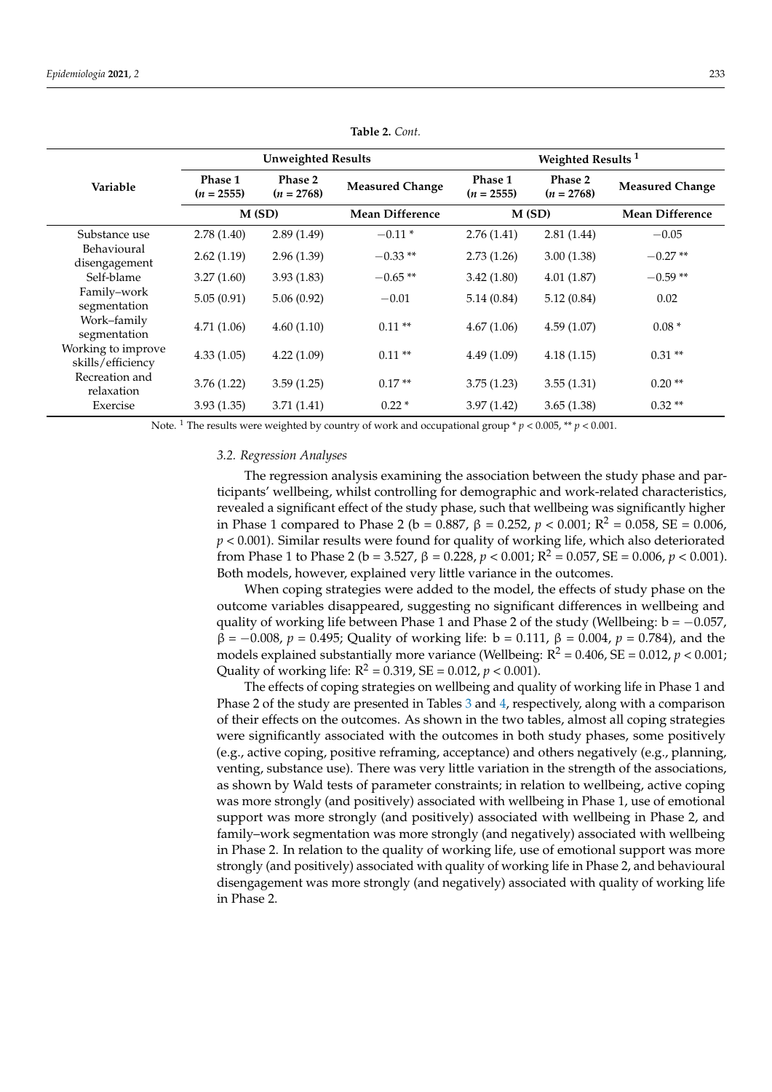|                                         | <b>Unweighted Results</b> |                         |                        | Weighted Results <sup>1</sup> |                         |                        |  |
|-----------------------------------------|---------------------------|-------------------------|------------------------|-------------------------------|-------------------------|------------------------|--|
| Variable                                | Phase 1<br>$(n = 2555)$   | Phase 2<br>$(n = 2768)$ | <b>Measured Change</b> | Phase 1<br>$(n = 2555)$       | Phase 2<br>$(n = 2768)$ | <b>Measured Change</b> |  |
|                                         | M(SD)                     |                         | <b>Mean Difference</b> | M(SD)                         |                         | <b>Mean Difference</b> |  |
| Substance use                           | 2.78(1.40)                | 2.89(1.49)              | $-0.11*$               | 2.76(1.41)                    | 2.81(1.44)              | $-0.05$                |  |
| Behavioural<br>disengagement            | 2.62(1.19)                | 2.96(1.39)              | $-0.33**$              | 2.73(1.26)                    | 3.00(1.38)              | $-0.27**$              |  |
| Self-blame                              | 3.27(1.60)                | 3.93(1.83)              | $-0.65**$              | 3.42(1.80)                    | 4.01(1.87)              | $-0.59**$              |  |
| Family-work<br>segmentation             | 5.05(0.91)                | 5.06(0.92)              | $-0.01$                | 5.14(0.84)                    | 5.12(0.84)              | 0.02                   |  |
| Work-family<br>segmentation             | 4.71(1.06)                | 4.60(1.10)              | $0.11**$               | 4.67(1.06)                    | 4.59(1.07)              | $0.08*$                |  |
| Working to improve<br>skills/efficiency | 4.33(1.05)                | 4.22(1.09)              | $0.11**$               | 4.49(1.09)                    | 4.18(1.15)              | $0.31**$               |  |
| Recreation and<br>relaxation            | 3.76(1.22)                | 3.59(1.25)              | $0.17**$               | 3.75(1.23)                    | 3.55(1.31)              | $0.20**$               |  |
| Exercise                                | 3.93(1.35)                | 3.71(1.41)              | $0.22*$                | 3.97(1.42)                    | 3.65(1.38)              | $0.32**$               |  |

**Table 2.** *Cont.*

Note. <sup>1</sup> The results were weighted by country of work and occupational group \*  $p < 0.005$ , \*\*  $p < 0.001$ .

#### *3.2. Regression Analyses*

The regression analysis examining the association between the study phase and participants' wellbeing, whilst controlling for demographic and work-related characteristics, revealed a significant effect of the study phase, such that wellbeing was significantly higher in Phase 1 compared to Phase 2 (b = 0.887, β = 0.252, p < 0.001;  $R^2$  = 0.058, SE = 0.006,  $p < 0.001$ ). Similar results were found for quality of working life, which also deteriorated from Phase 1 to Phase 2 (b = 3.527,  $\beta$  = 0.228,  $p < 0.001$ ;  $R^2 = 0.057$ ,  $SE = 0.006$ ,  $p < 0.001$ ). Both models, however, explained very little variance in the outcomes.

When coping strategies were added to the model, the effects of study phase on the outcome variables disappeared, suggesting no significant differences in wellbeing and quality of working life between Phase 1 and Phase 2 of the study (Wellbeing:  $b = -0.057$ , β = −0.008, *p* = 0.495; Quality of working life: b = 0.111, β = 0.004, *p* = 0.784), and the models explained substantially more variance (Wellbeing:  $R^2 = 0.406$ ,  $SE = 0.012$ ,  $p < 0.001$ ; Quality of working life:  $R^2 = 0.319$ ,  $SE = 0.012$ ,  $p < 0.001$ ).

The effects of coping strategies on wellbeing and quality of working life in Phase 1 and Phase 2 of the study are presented in Tables [3](#page-7-0) and [4,](#page-7-1) respectively, along with a comparison of their effects on the outcomes. As shown in the two tables, almost all coping strategies were significantly associated with the outcomes in both study phases, some positively (e.g., active coping, positive reframing, acceptance) and others negatively (e.g., planning, venting, substance use). There was very little variation in the strength of the associations, as shown by Wald tests of parameter constraints; in relation to wellbeing, active coping was more strongly (and positively) associated with wellbeing in Phase 1, use of emotional support was more strongly (and positively) associated with wellbeing in Phase 2, and family–work segmentation was more strongly (and negatively) associated with wellbeing in Phase 2. In relation to the quality of working life, use of emotional support was more strongly (and positively) associated with quality of working life in Phase 2, and behavioural disengagement was more strongly (and negatively) associated with quality of working life in Phase 2.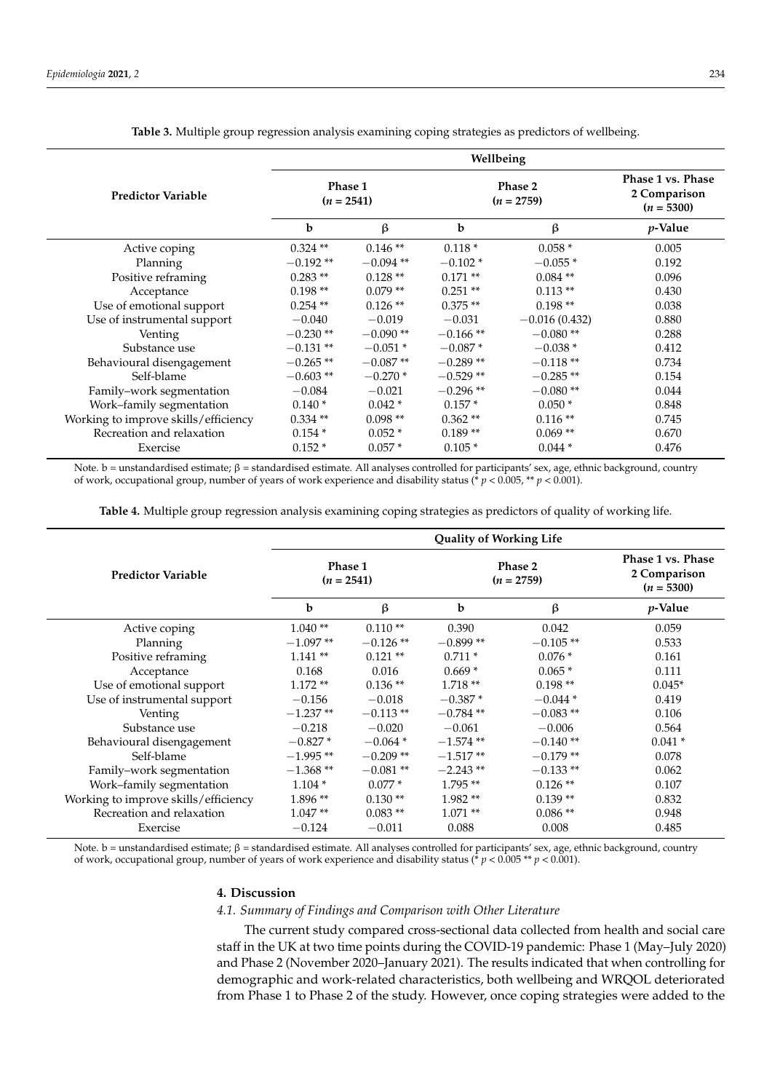<span id="page-7-0"></span>

|                                      | Wellbeing               |             |                         |                 |                                                   |  |
|--------------------------------------|-------------------------|-------------|-------------------------|-----------------|---------------------------------------------------|--|
| <b>Predictor Variable</b>            | Phase 1<br>$(n = 2541)$ |             | Phase 2<br>$(n = 2759)$ |                 | Phase 1 vs. Phase<br>2 Comparison<br>$(n = 5300)$ |  |
|                                      | b                       | $\beta$     | b                       | β               | <i>p</i> -Value                                   |  |
| Active coping                        | $0.324$ **              | $0.146**$   | $0.118*$                | $0.058*$        | 0.005                                             |  |
| Planning                             | $-0.192**$              | $-0.094$ ** | $-0.102*$               | $-0.055*$       | 0.192                                             |  |
| Positive reframing                   | $0.283**$               | $0.128**$   | $0.171**$               | $0.084$ **      | 0.096                                             |  |
| Acceptance                           | $0.198**$               | $0.079**$   | $0.251**$               | $0.113**$       | 0.430                                             |  |
| Use of emotional support             | $0.254$ **              | $0.126**$   | $0.375**$               | $0.198**$       | 0.038                                             |  |
| Use of instrumental support          | $-0.040$                | $-0.019$    | $-0.031$                | $-0.016(0.432)$ | 0.880                                             |  |
| Venting                              | $-0.230**$              | $-0.090**$  | $-0.166$ **             | $-0.080**$      | 0.288                                             |  |
| Substance use                        | $-0.131**$              | $-0.051*$   | $-0.087*$               | $-0.038*$       | 0.412                                             |  |
| Behavioural disengagement            | $-0.265**$              | $-0.087**$  | $-0.289**$              | $-0.118**$      | 0.734                                             |  |
| Self-blame                           | $-0.603**$              | $-0.270*$   | $-0.529**$              | $-0.285**$      | 0.154                                             |  |
| Family-work segmentation             | $-0.084$                | $-0.021$    | $-0.296**$              | $-0.080**$      | 0.044                                             |  |
| Work-family segmentation             | $0.140*$                | $0.042*$    | $0.157*$                | $0.050*$        | 0.848                                             |  |
| Working to improve skills/efficiency | $0.334**$               | $0.098**$   | $0.362**$               | $0.116**$       | 0.745                                             |  |
| Recreation and relaxation            | $0.154*$                | $0.052*$    | $0.189**$               | $0.069**$       | 0.670                                             |  |
| Exercise                             | $0.152*$                | $0.057*$    | $0.105*$                | $0.044*$        | 0.476                                             |  |

**Table 3.** Multiple group regression analysis examining coping strategies as predictors of wellbeing.

Note. b = unstandardised estimate; β = standardised estimate. All analyses controlled for participants' sex, age, ethnic background, country of work, occupational group, number of years of work experience and disability status (\* *p* < 0.005, \*\* *p* < 0.001).

**Table 4.** Multiple group regression analysis examining coping strategies as predictors of quality of working life.

<span id="page-7-1"></span>

|                                      | <b>Quality of Working Life</b> |            |                                |            |                                                   |  |
|--------------------------------------|--------------------------------|------------|--------------------------------|------------|---------------------------------------------------|--|
| <b>Predictor Variable</b>            | Phase 1<br>$(n = 2541)$        |            | <b>Phase 2</b><br>$(n = 2759)$ |            | Phase 1 vs. Phase<br>2 Comparison<br>$(n = 5300)$ |  |
|                                      | b                              | β          | b                              | β          | $p$ -Value                                        |  |
| Active coping                        | $1.040**$                      | $0.110**$  | 0.390                          | 0.042      | 0.059                                             |  |
| Planning                             | $-1.097**$                     | $-0.126**$ | $-0.899**$                     | $-0.105**$ | 0.533                                             |  |
| Positive reframing                   | $1.141**$                      | $0.121$ ** | $0.711*$                       | $0.076*$   | 0.161                                             |  |
| Acceptance                           | 0.168                          | 0.016      | $0.669*$                       | $0.065*$   | 0.111                                             |  |
| Use of emotional support             | $1.172**$                      | $0.136**$  | $1.718**$                      | $0.198**$  | $0.045*$                                          |  |
| Use of instrumental support          | $-0.156$                       | $-0.018$   | $-0.387*$                      | $-0.044*$  | 0.419                                             |  |
| Venting                              | $-1.237**$                     | $-0.113**$ | $-0.784**$                     | $-0.083**$ | 0.106                                             |  |
| Substance use                        | $-0.218$                       | $-0.020$   | $-0.061$                       | $-0.006$   | 0.564                                             |  |
| Behavioural disengagement            | $-0.827*$                      | $-0.064*$  | $-1.574$ **                    | $-0.140**$ | $0.041*$                                          |  |
| Self-blame                           | $-1.995**$                     | $-0.209**$ | $-1.517**$                     | $-0.179**$ | 0.078                                             |  |
| Family-work segmentation             | $-1.368**$                     | $-0.081**$ | $-2.243**$                     | $-0.133**$ | 0.062                                             |  |
| Work-family segmentation             | $1.104*$                       | $0.077*$   | $1.795**$                      | $0.126$ ** | 0.107                                             |  |
| Working to improve skills/efficiency | $1.896**$                      | $0.130**$  | $1.982**$                      | $0.139**$  | 0.832                                             |  |
| Recreation and relaxation            | $1.047**$                      | $0.083**$  | $1.071**$                      | $0.086**$  | 0.948                                             |  |
| Exercise                             | $-0.124$                       | $-0.011$   | 0.088                          | 0.008      | 0.485                                             |  |

Note. b = unstandardised estimate;  $β$  = standardised estimate. All analyses controlled for participants' sex, age, ethnic background, country of work, occupational group, number of years of work experience and disability status (\* *p* < 0.005 \*\* *p* < 0.001).

#### **4. Discussion**

# *4.1. Summary of Findings and Comparison with Other Literature*

The current study compared cross-sectional data collected from health and social care staff in the UK at two time points during the COVID-19 pandemic: Phase 1 (May–July 2020) and Phase 2 (November 2020–January 2021). The results indicated that when controlling for demographic and work-related characteristics, both wellbeing and WRQOL deteriorated from Phase 1 to Phase 2 of the study. However, once coping strategies were added to the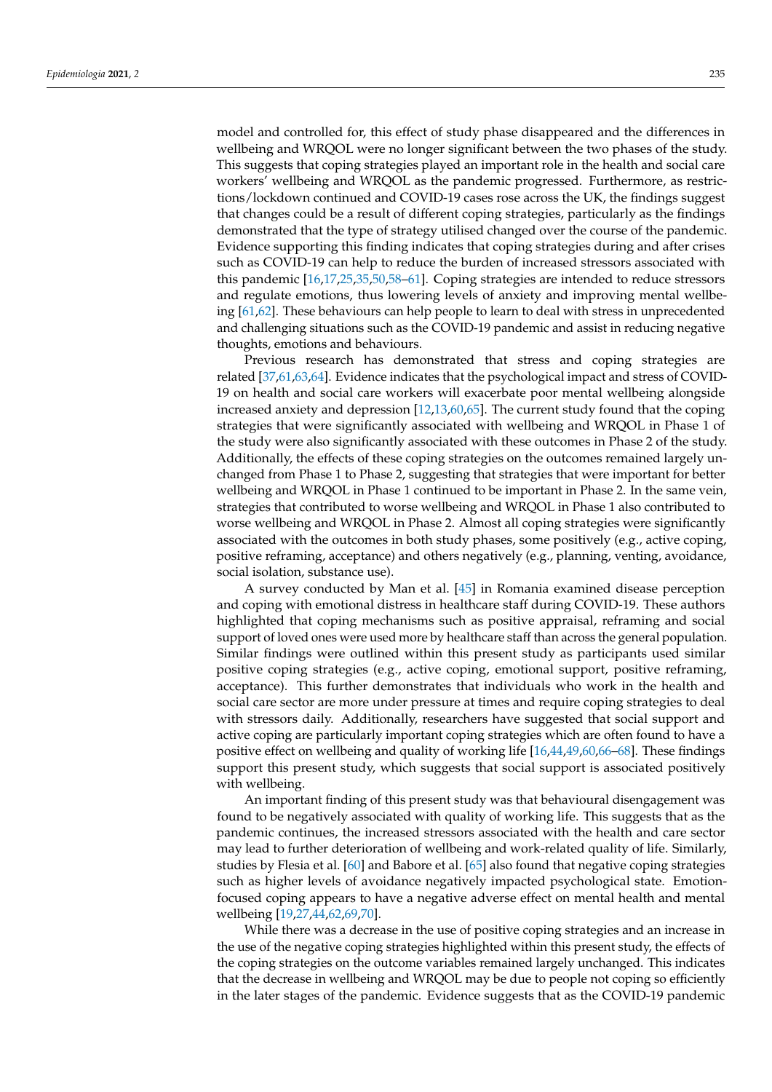model and controlled for, this effect of study phase disappeared and the differences in wellbeing and WRQOL were no longer significant between the two phases of the study. This suggests that coping strategies played an important role in the health and social care workers' wellbeing and WRQOL as the pandemic progressed. Furthermore, as restrictions/lockdown continued and COVID-19 cases rose across the UK, the findings suggest that changes could be a result of different coping strategies, particularly as the findings demonstrated that the type of strategy utilised changed over the course of the pandemic. Evidence supporting this finding indicates that coping strategies during and after crises such as COVID-19 can help to reduce the burden of increased stressors associated with this pandemic [\[16,](#page-12-4)[17](#page-12-13)[,25](#page-12-15)[,35](#page-13-3)[,50](#page-13-15)[,58–](#page-14-1)[61\]](#page-14-2). Coping strategies are intended to reduce stressors and regulate emotions, thus lowering levels of anxiety and improving mental wellbeing [\[61](#page-14-2)[,62\]](#page-14-3). These behaviours can help people to learn to deal with stress in unprecedented and challenging situations such as the COVID-19 pandemic and assist in reducing negative thoughts, emotions and behaviours.

Previous research has demonstrated that stress and coping strategies are related [\[37,](#page-13-6)[61,](#page-14-2)[63,](#page-14-4)[64\]](#page-14-5). Evidence indicates that the psychological impact and stress of COVID-19 on health and social care workers will exacerbate poor mental wellbeing alongside increased anxiety and depression [\[12,](#page-12-2)[13,](#page-12-3)[60,](#page-14-6)[65\]](#page-14-7). The current study found that the coping strategies that were significantly associated with wellbeing and WRQOL in Phase 1 of the study were also significantly associated with these outcomes in Phase 2 of the study. Additionally, the effects of these coping strategies on the outcomes remained largely unchanged from Phase 1 to Phase 2, suggesting that strategies that were important for better wellbeing and WRQOL in Phase 1 continued to be important in Phase 2. In the same vein, strategies that contributed to worse wellbeing and WRQOL in Phase 1 also contributed to worse wellbeing and WRQOL in Phase 2. Almost all coping strategies were significantly associated with the outcomes in both study phases, some positively (e.g., active coping, positive reframing, acceptance) and others negatively (e.g., planning, venting, avoidance, social isolation, substance use).

A survey conducted by Man et al. [\[45\]](#page-13-9) in Romania examined disease perception and coping with emotional distress in healthcare staff during COVID-19. These authors highlighted that coping mechanisms such as positive appraisal, reframing and social support of loved ones were used more by healthcare staff than across the general population. Similar findings were outlined within this present study as participants used similar positive coping strategies (e.g., active coping, emotional support, positive reframing, acceptance). This further demonstrates that individuals who work in the health and social care sector are more under pressure at times and require coping strategies to deal with stressors daily. Additionally, researchers have suggested that social support and active coping are particularly important coping strategies which are often found to have a positive effect on wellbeing and quality of working life [\[16](#page-12-4)[,44](#page-13-10)[,49](#page-13-14)[,60,](#page-14-6)[66–](#page-14-8)[68\]](#page-14-9). These findings support this present study, which suggests that social support is associated positively with wellbeing.

An important finding of this present study was that behavioural disengagement was found to be negatively associated with quality of working life. This suggests that as the pandemic continues, the increased stressors associated with the health and care sector may lead to further deterioration of wellbeing and work-related quality of life. Similarly, studies by Flesia et al. [\[60\]](#page-14-6) and Babore et al. [\[65\]](#page-14-7) also found that negative coping strategies such as higher levels of avoidance negatively impacted psychological state. Emotionfocused coping appears to have a negative adverse effect on mental health and mental wellbeing [\[19,](#page-12-14)[27](#page-12-7)[,44](#page-13-10)[,62](#page-14-3)[,69](#page-14-10)[,70\]](#page-14-11).

While there was a decrease in the use of positive coping strategies and an increase in the use of the negative coping strategies highlighted within this present study, the effects of the coping strategies on the outcome variables remained largely unchanged. This indicates that the decrease in wellbeing and WRQOL may be due to people not coping so efficiently in the later stages of the pandemic. Evidence suggests that as the COVID-19 pandemic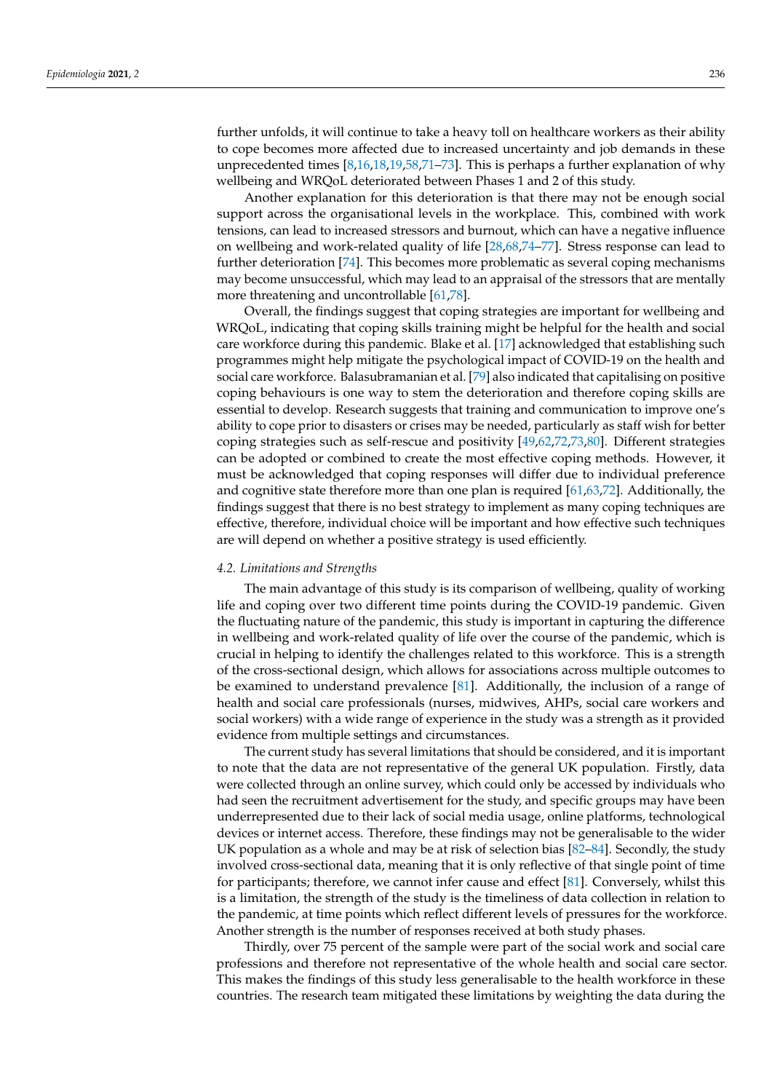further unfolds, it will continue to take a heavy toll on healthcare workers as their ability to cope becomes more affected due to increased uncertainty and job demands in these unprecedented times [\[8](#page-12-16)[,16](#page-12-4)[,18](#page-12-11)[,19](#page-12-14)[,58](#page-14-1)[,71](#page-14-12)[–73\]](#page-14-13). This is perhaps a further explanation of why wellbeing and WRQoL deteriorated between Phases 1 and 2 of this study.

Another explanation for this deterioration is that there may not be enough social support across the organisational levels in the workplace. This, combined with work tensions, can lead to increased stressors and burnout, which can have a negative influence on wellbeing and work-related quality of life [\[28,](#page-12-9)[68,](#page-14-9)[74–](#page-14-14)[77\]](#page-14-15). Stress response can lead to further deterioration [\[74\]](#page-14-14). This becomes more problematic as several coping mechanisms may become unsuccessful, which may lead to an appraisal of the stressors that are mentally more threatening and uncontrollable [\[61,](#page-14-2)[78\]](#page-14-16).

Overall, the findings suggest that coping strategies are important for wellbeing and WRQoL, indicating that coping skills training might be helpful for the health and social care workforce during this pandemic. Blake et al. [\[17\]](#page-12-13) acknowledged that establishing such programmes might help mitigate the psychological impact of COVID-19 on the health and social care workforce. Balasubramanian et al. [\[79\]](#page-14-17) also indicated that capitalising on positive coping behaviours is one way to stem the deterioration and therefore coping skills are essential to develop. Research suggests that training and communication to improve one's ability to cope prior to disasters or crises may be needed, particularly as staff wish for better coping strategies such as self-rescue and positivity [\[49](#page-13-14)[,62](#page-14-3)[,72](#page-14-18)[,73](#page-14-13)[,80\]](#page-14-19). Different strategies can be adopted or combined to create the most effective coping methods. However, it must be acknowledged that coping responses will differ due to individual preference and cognitive state therefore more than one plan is required [\[61](#page-14-2)[,63](#page-14-4)[,72\]](#page-14-18). Additionally, the findings suggest that there is no best strategy to implement as many coping techniques are effective, therefore, individual choice will be important and how effective such techniques are will depend on whether a positive strategy is used efficiently.

#### *4.2. Limitations and Strengths*

The main advantage of this study is its comparison of wellbeing, quality of working life and coping over two different time points during the COVID-19 pandemic. Given the fluctuating nature of the pandemic, this study is important in capturing the difference in wellbeing and work-related quality of life over the course of the pandemic, which is crucial in helping to identify the challenges related to this workforce. This is a strength of the cross-sectional design, which allows for associations across multiple outcomes to be examined to understand prevalence [\[81\]](#page-14-20). Additionally, the inclusion of a range of health and social care professionals (nurses, midwives, AHPs, social care workers and social workers) with a wide range of experience in the study was a strength as it provided evidence from multiple settings and circumstances.

The current study has several limitations that should be considered, and it is important to note that the data are not representative of the general UK population. Firstly, data were collected through an online survey, which could only be accessed by individuals who had seen the recruitment advertisement for the study, and specific groups may have been underrepresented due to their lack of social media usage, online platforms, technological devices or internet access. Therefore, these findings may not be generalisable to the wider UK population as a whole and may be at risk of selection bias  $[82–84]$  $[82–84]$ . Secondly, the study involved cross-sectional data, meaning that it is only reflective of that single point of time for participants; therefore, we cannot infer cause and effect [\[81\]](#page-14-20). Conversely, whilst this is a limitation, the strength of the study is the timeliness of data collection in relation to the pandemic, at time points which reflect different levels of pressures for the workforce. Another strength is the number of responses received at both study phases.

Thirdly, over 75 percent of the sample were part of the social work and social care professions and therefore not representative of the whole health and social care sector. This makes the findings of this study less generalisable to the health workforce in these countries. The research team mitigated these limitations by weighting the data during the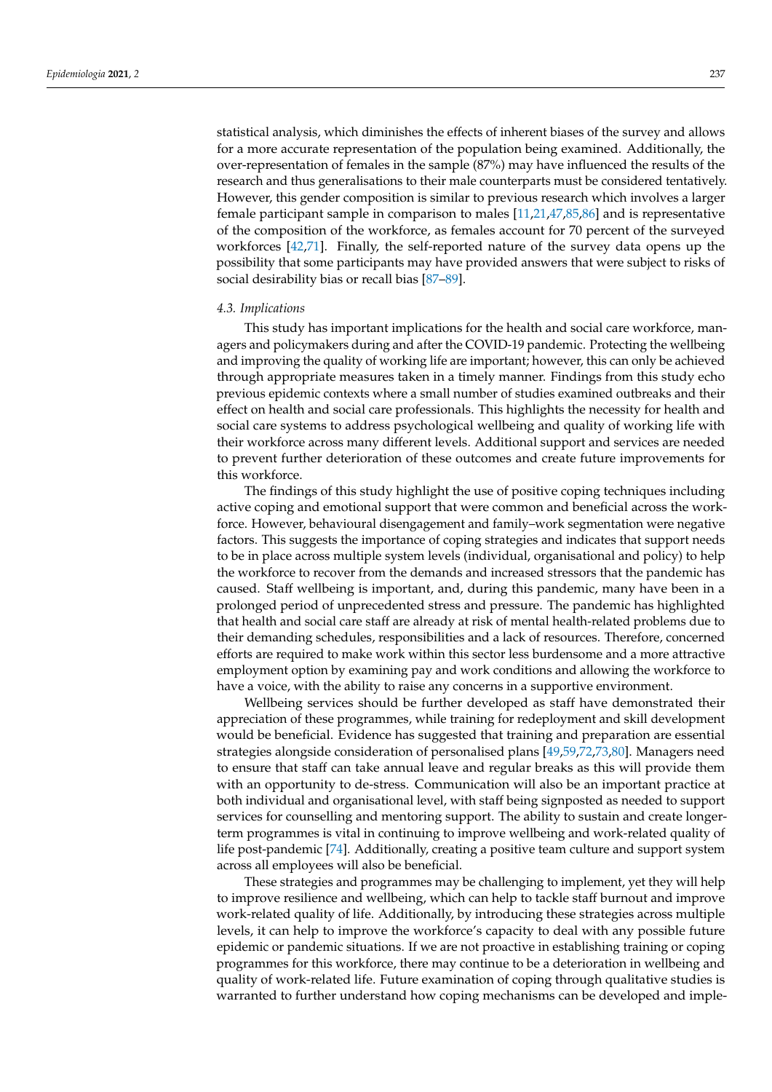statistical analysis, which diminishes the effects of inherent biases of the survey and allows for a more accurate representation of the population being examined. Additionally, the over-representation of females in the sample (87%) may have influenced the results of the research and thus generalisations to their male counterparts must be considered tentatively. However, this gender composition is similar to previous research which involves a larger female participant sample in comparison to males [\[11,](#page-12-12)[21,](#page-12-5)[47,](#page-13-11)[85,](#page-14-23)[86\]](#page-15-0) and is representative of the composition of the workforce, as females account for 70 percent of the surveyed workforces [\[42](#page-13-8)[,71\]](#page-14-12). Finally, the self-reported nature of the survey data opens up the possibility that some participants may have provided answers that were subject to risks of social desirability bias or recall bias [\[87–](#page-15-1)[89\]](#page-15-2).

#### *4.3. Implications*

This study has important implications for the health and social care workforce, managers and policymakers during and after the COVID-19 pandemic. Protecting the wellbeing and improving the quality of working life are important; however, this can only be achieved through appropriate measures taken in a timely manner. Findings from this study echo previous epidemic contexts where a small number of studies examined outbreaks and their effect on health and social care professionals. This highlights the necessity for health and social care systems to address psychological wellbeing and quality of working life with their workforce across many different levels. Additional support and services are needed to prevent further deterioration of these outcomes and create future improvements for this workforce.

The findings of this study highlight the use of positive coping techniques including active coping and emotional support that were common and beneficial across the workforce. However, behavioural disengagement and family–work segmentation were negative factors. This suggests the importance of coping strategies and indicates that support needs to be in place across multiple system levels (individual, organisational and policy) to help the workforce to recover from the demands and increased stressors that the pandemic has caused. Staff wellbeing is important, and, during this pandemic, many have been in a prolonged period of unprecedented stress and pressure. The pandemic has highlighted that health and social care staff are already at risk of mental health-related problems due to their demanding schedules, responsibilities and a lack of resources. Therefore, concerned efforts are required to make work within this sector less burdensome and a more attractive employment option by examining pay and work conditions and allowing the workforce to have a voice, with the ability to raise any concerns in a supportive environment.

Wellbeing services should be further developed as staff have demonstrated their appreciation of these programmes, while training for redeployment and skill development would be beneficial. Evidence has suggested that training and preparation are essential strategies alongside consideration of personalised plans [\[49](#page-13-14)[,59](#page-14-24)[,72](#page-14-18)[,73](#page-14-13)[,80\]](#page-14-19). Managers need to ensure that staff can take annual leave and regular breaks as this will provide them with an opportunity to de-stress. Communication will also be an important practice at both individual and organisational level, with staff being signposted as needed to support services for counselling and mentoring support. The ability to sustain and create longerterm programmes is vital in continuing to improve wellbeing and work-related quality of life post-pandemic [\[74\]](#page-14-14). Additionally, creating a positive team culture and support system across all employees will also be beneficial.

These strategies and programmes may be challenging to implement, yet they will help to improve resilience and wellbeing, which can help to tackle staff burnout and improve work-related quality of life. Additionally, by introducing these strategies across multiple levels, it can help to improve the workforce's capacity to deal with any possible future epidemic or pandemic situations. If we are not proactive in establishing training or coping programmes for this workforce, there may continue to be a deterioration in wellbeing and quality of work-related life. Future examination of coping through qualitative studies is warranted to further understand how coping mechanisms can be developed and imple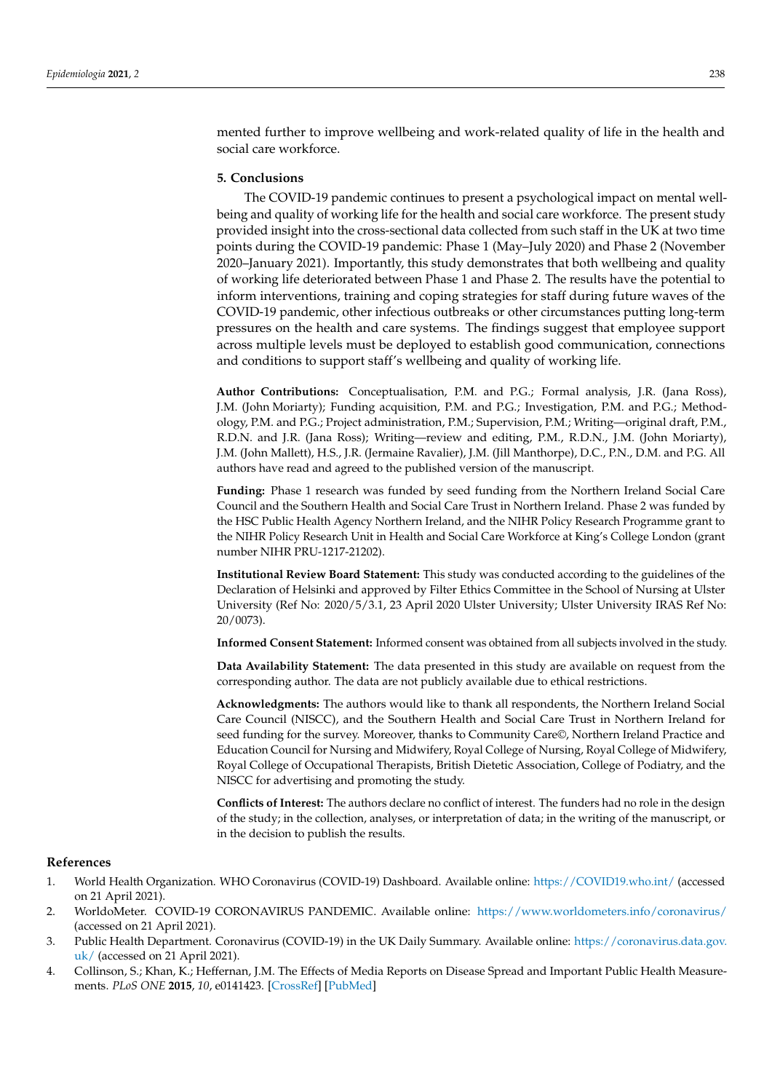mented further to improve wellbeing and work-related quality of life in the health and social care workforce.

# **5. Conclusions**

The COVID-19 pandemic continues to present a psychological impact on mental wellbeing and quality of working life for the health and social care workforce. The present study provided insight into the cross-sectional data collected from such staff in the UK at two time points during the COVID-19 pandemic: Phase 1 (May–July 2020) and Phase 2 (November 2020–January 2021). Importantly, this study demonstrates that both wellbeing and quality of working life deteriorated between Phase 1 and Phase 2. The results have the potential to inform interventions, training and coping strategies for staff during future waves of the COVID-19 pandemic, other infectious outbreaks or other circumstances putting long-term pressures on the health and care systems. The findings suggest that employee support across multiple levels must be deployed to establish good communication, connections and conditions to support staff's wellbeing and quality of working life.

**Author Contributions:** Conceptualisation, P.M. and P.G.; Formal analysis, J.R. (Jana Ross), J.M. (John Moriarty); Funding acquisition, P.M. and P.G.; Investigation, P.M. and P.G.; Methodology, P.M. and P.G.; Project administration, P.M.; Supervision, P.M.; Writing—original draft, P.M., R.D.N. and J.R. (Jana Ross); Writing—review and editing, P.M., R.D.N., J.M. (John Moriarty), J.M. (John Mallett), H.S., J.R. (Jermaine Ravalier), J.M. (Jill Manthorpe), D.C., P.N., D.M. and P.G. All authors have read and agreed to the published version of the manuscript.

**Funding:** Phase 1 research was funded by seed funding from the Northern Ireland Social Care Council and the Southern Health and Social Care Trust in Northern Ireland. Phase 2 was funded by the HSC Public Health Agency Northern Ireland, and the NIHR Policy Research Programme grant to the NIHR Policy Research Unit in Health and Social Care Workforce at King's College London (grant number NIHR PRU-1217-21202).

**Institutional Review Board Statement:** This study was conducted according to the guidelines of the Declaration of Helsinki and approved by Filter Ethics Committee in the School of Nursing at Ulster University (Ref No: 2020/5/3.1, 23 April 2020 Ulster University; Ulster University IRAS Ref No: 20/0073).

**Informed Consent Statement:** Informed consent was obtained from all subjects involved in the study.

**Data Availability Statement:** The data presented in this study are available on request from the corresponding author. The data are not publicly available due to ethical restrictions.

**Acknowledgments:** The authors would like to thank all respondents, the Northern Ireland Social Care Council (NISCC), and the Southern Health and Social Care Trust in Northern Ireland for seed funding for the survey. Moreover, thanks to Community Care©, Northern Ireland Practice and Education Council for Nursing and Midwifery, Royal College of Nursing, Royal College of Midwifery, Royal College of Occupational Therapists, British Dietetic Association, College of Podiatry, and the NISCC for advertising and promoting the study.

**Conflicts of Interest:** The authors declare no conflict of interest. The funders had no role in the design of the study; in the collection, analyses, or interpretation of data; in the writing of the manuscript, or in the decision to publish the results.

#### **References**

- <span id="page-11-0"></span>1. World Health Organization. WHO Coronavirus (COVID-19) Dashboard. Available online: <https://COVID19.who.int/> (accessed on 21 April 2021).
- <span id="page-11-1"></span>2. WorldoMeter. COVID-19 CORONAVIRUS PANDEMIC. Available online: <https://www.worldometers.info/coronavirus/> (accessed on 21 April 2021).
- <span id="page-11-2"></span>3. Public Health Department. Coronavirus (COVID-19) in the UK Daily Summary. Available online: [https://coronavirus.data.gov.](https://coronavirus.data.gov.uk/) [uk/](https://coronavirus.data.gov.uk/) (accessed on 21 April 2021).
- <span id="page-11-3"></span>4. Collinson, S.; Khan, K.; Heffernan, J.M. The Effects of Media Reports on Disease Spread and Important Public Health Measurements. *PLoS ONE* **2015**, *10*, e0141423. [\[CrossRef\]](http://doi.org/10.1371/journal.pone.0141423) [\[PubMed\]](http://www.ncbi.nlm.nih.gov/pubmed/26528909)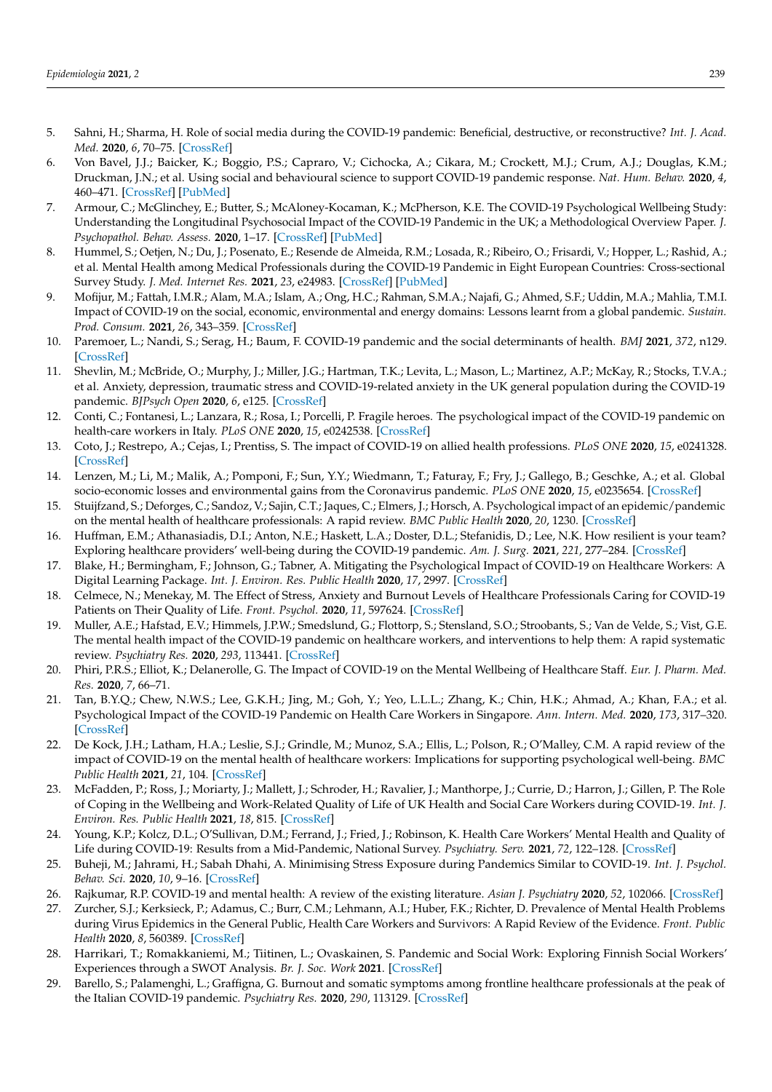- 5. Sahni, H.; Sharma, H. Role of social media during the COVID-19 pandemic: Beneficial, destructive, or reconstructive? *Int. J. Acad. Med.* **2020**, *6*, 70–75. [\[CrossRef\]](http://doi.org/10.4103/ijam.Ijam_50_20)
- <span id="page-12-0"></span>6. Von Bavel, J.J.; Baicker, K.; Boggio, P.S.; Capraro, V.; Cichocka, A.; Cikara, M.; Crockett, M.J.; Crum, A.J.; Douglas, K.M.; Druckman, J.N.; et al. Using social and behavioural science to support COVID-19 pandemic response. *Nat. Hum. Behav.* **2020**, *4*, 460–471. [\[CrossRef\]](http://doi.org/10.1038/s41562-020-0884-z) [\[PubMed\]](http://www.ncbi.nlm.nih.gov/pubmed/32355299)
- 7. Armour, C.; McGlinchey, E.; Butter, S.; McAloney-Kocaman, K.; McPherson, K.E. The COVID-19 Psychological Wellbeing Study: Understanding the Longitudinal Psychosocial Impact of the COVID-19 Pandemic in the UK; a Methodological Overview Paper. *J. Psychopathol. Behav. Assess.* **2020**, 1–17. [\[CrossRef\]](http://doi.org/10.1007/s10862-020-09841-4) [\[PubMed\]](http://www.ncbi.nlm.nih.gov/pubmed/33169046)
- <span id="page-12-16"></span>8. Hummel, S.; Oetjen, N.; Du, J.; Posenato, E.; Resende de Almeida, R.M.; Losada, R.; Ribeiro, O.; Frisardi, V.; Hopper, L.; Rashid, A.; et al. Mental Health among Medical Professionals during the COVID-19 Pandemic in Eight European Countries: Cross-sectional Survey Study. *J. Med. Internet Res.* **2021**, *23*, e24983. [\[CrossRef\]](http://doi.org/10.2196/24983) [\[PubMed\]](http://www.ncbi.nlm.nih.gov/pubmed/33411670)
- 9. Mofijur, M.; Fattah, I.M.R.; Alam, M.A.; Islam, A.; Ong, H.C.; Rahman, S.M.A.; Najafi, G.; Ahmed, S.F.; Uddin, M.A.; Mahlia, T.M.I. Impact of COVID-19 on the social, economic, environmental and energy domains: Lessons learnt from a global pandemic. *Sustain. Prod. Consum.* **2021**, *26*, 343–359. [\[CrossRef\]](http://doi.org/10.1016/j.spc.2020.10.016)
- 10. Paremoer, L.; Nandi, S.; Serag, H.; Baum, F. COVID-19 pandemic and the social determinants of health. *BMJ* **2021**, *372*, n129. [\[CrossRef\]](http://doi.org/10.1136/bmj.n129)
- <span id="page-12-12"></span>11. Shevlin, M.; McBride, O.; Murphy, J.; Miller, J.G.; Hartman, T.K.; Levita, L.; Mason, L.; Martinez, A.P.; McKay, R.; Stocks, T.V.A.; et al. Anxiety, depression, traumatic stress and COVID-19-related anxiety in the UK general population during the COVID-19 pandemic. *BJPsych Open* **2020**, *6*, e125. [\[CrossRef\]](http://doi.org/10.1192/bjo.2020.109)
- <span id="page-12-2"></span>12. Conti, C.; Fontanesi, L.; Lanzara, R.; Rosa, I.; Porcelli, P. Fragile heroes. The psychological impact of the COVID-19 pandemic on health-care workers in Italy. *PLoS ONE* **2020**, *15*, e0242538. [\[CrossRef\]](http://doi.org/10.1371/journal.pone.0242538)
- <span id="page-12-3"></span>13. Coto, J.; Restrepo, A.; Cejas, I.; Prentiss, S. The impact of COVID-19 on allied health professions. *PLoS ONE* **2020**, *15*, e0241328. [\[CrossRef\]](http://doi.org/10.1371/journal.pone.0241328)
- 14. Lenzen, M.; Li, M.; Malik, A.; Pomponi, F.; Sun, Y.Y.; Wiedmann, T.; Faturay, F.; Fry, J.; Gallego, B.; Geschke, A.; et al. Global socio-economic losses and environmental gains from the Coronavirus pandemic. *PLoS ONE* **2020**, *15*, e0235654. [\[CrossRef\]](http://doi.org/10.1371/journal.pone.0235654)
- <span id="page-12-1"></span>15. Stuijfzand, S.; Deforges, C.; Sandoz, V.; Sajin, C.T.; Jaques, C.; Elmers, J.; Horsch, A. Psychological impact of an epidemic/pandemic on the mental health of healthcare professionals: A rapid review. *BMC Public Health* **2020**, *20*, 1230. [\[CrossRef\]](http://doi.org/10.1186/s12889-020-09322-z)
- <span id="page-12-4"></span>16. Huffman, E.M.; Athanasiadis, D.I.; Anton, N.E.; Haskett, L.A.; Doster, D.L.; Stefanidis, D.; Lee, N.K. How resilient is your team? Exploring healthcare providers' well-being during the COVID-19 pandemic. *Am. J. Surg.* **2021**, *221*, 277–284. [\[CrossRef\]](http://doi.org/10.1016/j.amjsurg.2020.09.005)
- <span id="page-12-13"></span>17. Blake, H.; Bermingham, F.; Johnson, G.; Tabner, A. Mitigating the Psychological Impact of COVID-19 on Healthcare Workers: A Digital Learning Package. *Int. J. Environ. Res. Public Health* **2020**, *17*, 2997. [\[CrossRef\]](http://doi.org/10.3390/ijerph17092997)
- <span id="page-12-11"></span>18. Celmece, N.; Menekay, M. The Effect of Stress, Anxiety and Burnout Levels of Healthcare Professionals Caring for COVID-19 Patients on Their Quality of Life. *Front. Psychol.* **2020**, *11*, 597624. [\[CrossRef\]](http://doi.org/10.3389/fpsyg.2020.597624)
- <span id="page-12-14"></span>19. Muller, A.E.; Hafstad, E.V.; Himmels, J.P.W.; Smedslund, G.; Flottorp, S.; Stensland, S.O.; Stroobants, S.; Van de Velde, S.; Vist, G.E. The mental health impact of the COVID-19 pandemic on healthcare workers, and interventions to help them: A rapid systematic review. *Psychiatry Res.* **2020**, *293*, 113441. [\[CrossRef\]](http://doi.org/10.1016/j.psychres.2020.113441)
- 20. Phiri, P.R.S.; Elliot, K.; Delanerolle, G. The Impact of COVID-19 on the Mental Wellbeing of Healthcare Staff. *Eur. J. Pharm. Med. Res.* **2020**, *7*, 66–71.
- <span id="page-12-5"></span>21. Tan, B.Y.Q.; Chew, N.W.S.; Lee, G.K.H.; Jing, M.; Goh, Y.; Yeo, L.L.L.; Zhang, K.; Chin, H.K.; Ahmad, A.; Khan, F.A.; et al. Psychological Impact of the COVID-19 Pandemic on Health Care Workers in Singapore. *Ann. Intern. Med.* **2020**, *173*, 317–320. [\[CrossRef\]](http://doi.org/10.7326/M20-1083)
- <span id="page-12-6"></span>22. De Kock, J.H.; Latham, H.A.; Leslie, S.J.; Grindle, M.; Munoz, S.A.; Ellis, L.; Polson, R.; O'Malley, C.M. A rapid review of the impact of COVID-19 on the mental health of healthcare workers: Implications for supporting psychological well-being. *BMC Public Health* **2021**, *21*, 104. [\[CrossRef\]](http://doi.org/10.1186/s12889-020-10070-3)
- 23. McFadden, P.; Ross, J.; Moriarty, J.; Mallett, J.; Schroder, H.; Ravalier, J.; Manthorpe, J.; Currie, D.; Harron, J.; Gillen, P. The Role of Coping in the Wellbeing and Work-Related Quality of Life of UK Health and Social Care Workers during COVID-19. *Int. J. Environ. Res. Public Health* **2021**, *18*, 815. [\[CrossRef\]](http://doi.org/10.3390/ijerph18020815)
- <span id="page-12-8"></span>24. Young, K.P.; Kolcz, D.L.; O'Sullivan, D.M.; Ferrand, J.; Fried, J.; Robinson, K. Health Care Workers' Mental Health and Quality of Life during COVID-19: Results from a Mid-Pandemic, National Survey. *Psychiatry. Serv.* **2021**, *72*, 122–128. [\[CrossRef\]](http://doi.org/10.1176/appi.ps.202000424)
- <span id="page-12-15"></span>25. Buheji, M.; Jahrami, H.; Sabah Dhahi, A. Minimising Stress Exposure during Pandemics Similar to COVID-19. *Int. J. Psychol. Behav. Sci.* **2020**, *10*, 9–16. [\[CrossRef\]](http://doi.org/10.5923/j.ijpbs.20201001.02)
- <span id="page-12-10"></span>26. Rajkumar, R.P. COVID-19 and mental health: A review of the existing literature. *Asian J. Psychiatry* **2020**, *52*, 102066. [\[CrossRef\]](http://doi.org/10.1016/j.ajp.2020.102066)
- <span id="page-12-7"></span>27. Zurcher, S.J.; Kerksieck, P.; Adamus, C.; Burr, C.M.; Lehmann, A.I.; Huber, F.K.; Richter, D. Prevalence of Mental Health Problems during Virus Epidemics in the General Public, Health Care Workers and Survivors: A Rapid Review of the Evidence. *Front. Public Health* **2020**, *8*, 560389. [\[CrossRef\]](http://doi.org/10.3389/fpubh.2020.560389)
- <span id="page-12-9"></span>28. Harrikari, T.; Romakkaniemi, M.; Tiitinen, L.; Ovaskainen, S. Pandemic and Social Work: Exploring Finnish Social Workers' Experiences through a SWOT Analysis. *Br. J. Soc. Work* **2021**. [\[CrossRef\]](http://doi.org/10.1093/bjsw/bcab052)
- 29. Barello, S.; Palamenghi, L.; Graffigna, G. Burnout and somatic symptoms among frontline healthcare professionals at the peak of the Italian COVID-19 pandemic. *Psychiatry Res.* **2020**, *290*, 113129. [\[CrossRef\]](http://doi.org/10.1016/j.psychres.2020.113129)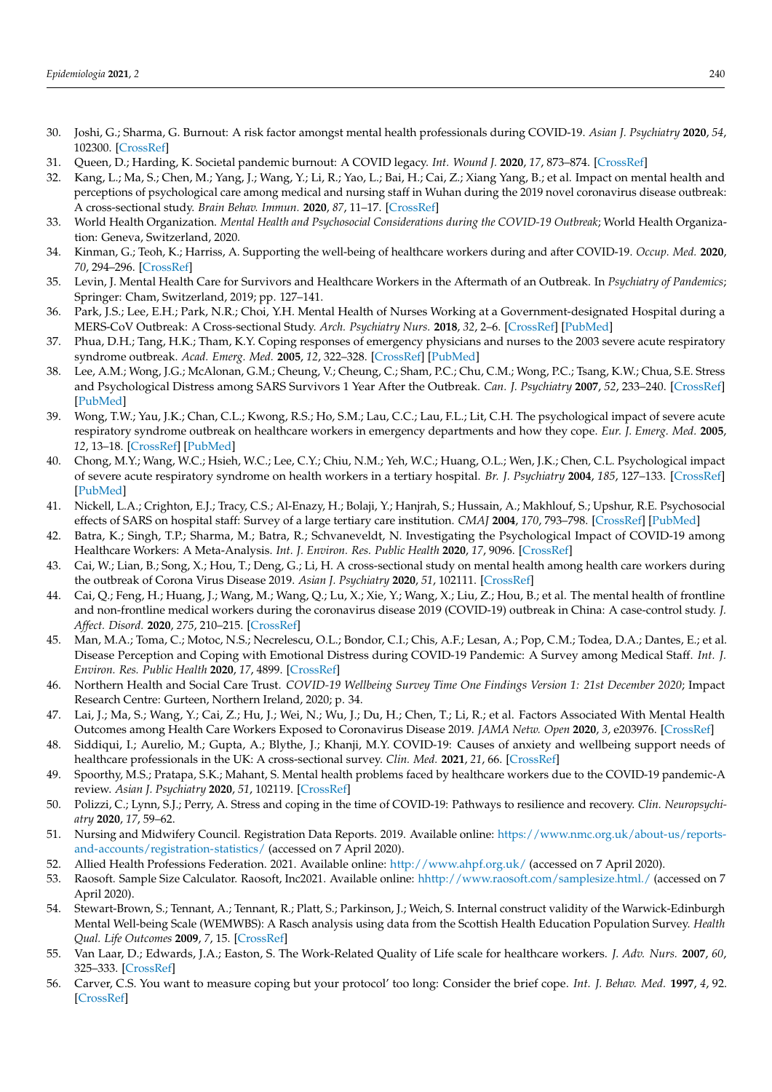- 30. Joshi, G.; Sharma, G. Burnout: A risk factor amongst mental health professionals during COVID-19. *Asian J. Psychiatry* **2020**, *54*, 102300. [\[CrossRef\]](http://doi.org/10.1016/j.ajp.2020.102300)
- 31. Queen, D.; Harding, K. Societal pandemic burnout: A COVID legacy. *Int. Wound J.* **2020**, *17*, 873–874. [\[CrossRef\]](http://doi.org/10.1111/iwj.13441)
- <span id="page-13-0"></span>32. Kang, L.; Ma, S.; Chen, M.; Yang, J.; Wang, Y.; Li, R.; Yao, L.; Bai, H.; Cai, Z.; Xiang Yang, B.; et al. Impact on mental health and perceptions of psychological care among medical and nursing staff in Wuhan during the 2019 novel coronavirus disease outbreak: A cross-sectional study. *Brain Behav. Immun.* **2020**, *87*, 11–17. [\[CrossRef\]](http://doi.org/10.1016/j.bbi.2020.03.028)
- <span id="page-13-1"></span>33. World Health Organization. *Mental Health and Psychosocial Considerations during the COVID-19 Outbreak*; World Health Organization: Geneva, Switzerland, 2020.
- <span id="page-13-2"></span>34. Kinman, G.; Teoh, K.; Harriss, A. Supporting the well-being of healthcare workers during and after COVID-19. *Occup. Med.* **2020**, *70*, 294–296. [\[CrossRef\]](http://doi.org/10.1093/occmed/kqaa096)
- <span id="page-13-3"></span>35. Levin, J. Mental Health Care for Survivors and Healthcare Workers in the Aftermath of an Outbreak. In *Psychiatry of Pandemics*; Springer: Cham, Switzerland, 2019; pp. 127–141.
- 36. Park, J.S.; Lee, E.H.; Park, N.R.; Choi, Y.H. Mental Health of Nurses Working at a Government-designated Hospital during a MERS-CoV Outbreak: A Cross-sectional Study. *Arch. Psychiatry Nurs.* **2018**, *32*, 2–6. [\[CrossRef\]](http://doi.org/10.1016/j.apnu.2017.09.006) [\[PubMed\]](http://www.ncbi.nlm.nih.gov/pubmed/29413067)
- <span id="page-13-6"></span>37. Phua, D.H.; Tang, H.K.; Tham, K.Y. Coping responses of emergency physicians and nurses to the 2003 severe acute respiratory syndrome outbreak. *Acad. Emerg. Med.* **2005**, *12*, 322–328. [\[CrossRef\]](http://doi.org/10.1197/j.aem.2004.11.015) [\[PubMed\]](http://www.ncbi.nlm.nih.gov/pubmed/15805323)
- <span id="page-13-5"></span>38. Lee, A.M.; Wong, J.G.; McAlonan, G.M.; Cheung, V.; Cheung, C.; Sham, P.C.; Chu, C.M.; Wong, P.C.; Tsang, K.W.; Chua, S.E. Stress and Psychological Distress among SARS Survivors 1 Year After the Outbreak. *Can. J. Psychiatry* **2007**, *52*, 233–240. [\[CrossRef\]](http://doi.org/10.1177/070674370705200405) [\[PubMed\]](http://www.ncbi.nlm.nih.gov/pubmed/17500304)
- <span id="page-13-7"></span>39. Wong, T.W.; Yau, J.K.; Chan, C.L.; Kwong, R.S.; Ho, S.M.; Lau, C.C.; Lau, F.L.; Lit, C.H. The psychological impact of severe acute respiratory syndrome outbreak on healthcare workers in emergency departments and how they cope. *Eur. J. Emerg. Med.* **2005**, *12*, 13–18. [\[CrossRef\]](http://doi.org/10.1097/00063110-200502000-00005) [\[PubMed\]](http://www.ncbi.nlm.nih.gov/pubmed/15674079)
- 40. Chong, M.Y.; Wang, W.C.; Hsieh, W.C.; Lee, C.Y.; Chiu, N.M.; Yeh, W.C.; Huang, O.L.; Wen, J.K.; Chen, C.L. Psychological impact of severe acute respiratory syndrome on health workers in a tertiary hospital. *Br. J. Psychiatry* **2004**, *185*, 127–133. [\[CrossRef\]](http://doi.org/10.1192/bjp.185.2.127) [\[PubMed\]](http://www.ncbi.nlm.nih.gov/pubmed/15286063)
- <span id="page-13-4"></span>41. Nickell, L.A.; Crighton, E.J.; Tracy, C.S.; Al-Enazy, H.; Bolaji, Y.; Hanjrah, S.; Hussain, A.; Makhlouf, S.; Upshur, R.E. Psychosocial effects of SARS on hospital staff: Survey of a large tertiary care institution. *CMAJ* **2004**, *170*, 793–798. [\[CrossRef\]](http://doi.org/10.1503/cmaj.1031077) [\[PubMed\]](http://www.ncbi.nlm.nih.gov/pubmed/14993174)
- <span id="page-13-8"></span>42. Batra, K.; Singh, T.P.; Sharma, M.; Batra, R.; Schvaneveldt, N. Investigating the Psychological Impact of COVID-19 among Healthcare Workers: A Meta-Analysis. *Int. J. Environ. Res. Public Health* **2020**, *17*, 9096. [\[CrossRef\]](http://doi.org/10.3390/ijerph17239096)
- 43. Cai, W.; Lian, B.; Song, X.; Hou, T.; Deng, G.; Li, H. A cross-sectional study on mental health among health care workers during the outbreak of Corona Virus Disease 2019. *Asian J. Psychiatry* **2020**, *51*, 102111. [\[CrossRef\]](http://doi.org/10.1016/j.ajp.2020.102111)
- <span id="page-13-10"></span>44. Cai, Q.; Feng, H.; Huang, J.; Wang, M.; Wang, Q.; Lu, X.; Xie, Y.; Wang, X.; Liu, Z.; Hou, B.; et al. The mental health of frontline and non-frontline medical workers during the coronavirus disease 2019 (COVID-19) outbreak in China: A case-control study. *J. Affect. Disord.* **2020**, *275*, 210–215. [\[CrossRef\]](http://doi.org/10.1016/j.jad.2020.06.031)
- <span id="page-13-9"></span>45. Man, M.A.; Toma, C.; Motoc, N.S.; Necrelescu, O.L.; Bondor, C.I.; Chis, A.F.; Lesan, A.; Pop, C.M.; Todea, D.A.; Dantes, E.; et al. Disease Perception and Coping with Emotional Distress during COVID-19 Pandemic: A Survey among Medical Staff. *Int. J. Environ. Res. Public Health* **2020**, *17*, 4899. [\[CrossRef\]](http://doi.org/10.3390/ijerph17134899)
- <span id="page-13-12"></span>46. Northern Health and Social Care Trust. *COVID-19 Wellbeing Survey Time One Findings Version 1: 21st December 2020*; Impact Research Centre: Gurteen, Northern Ireland, 2020; p. 34.
- <span id="page-13-11"></span>47. Lai, J.; Ma, S.; Wang, Y.; Cai, Z.; Hu, J.; Wei, N.; Wu, J.; Du, H.; Chen, T.; Li, R.; et al. Factors Associated With Mental Health Outcomes among Health Care Workers Exposed to Coronavirus Disease 2019. *JAMA Netw. Open* **2020**, *3*, e203976. [\[CrossRef\]](http://doi.org/10.1001/jamanetworkopen.2020.3976)
- <span id="page-13-13"></span>48. Siddiqui, I.; Aurelio, M.; Gupta, A.; Blythe, J.; Khanji, M.Y. COVID-19: Causes of anxiety and wellbeing support needs of healthcare professionals in the UK: A cross-sectional survey. *Clin. Med.* **2021**, *21*, 66. [\[CrossRef\]](http://doi.org/10.7861/clinmed.2020-0502)
- <span id="page-13-14"></span>49. Spoorthy, M.S.; Pratapa, S.K.; Mahant, S. Mental health problems faced by healthcare workers due to the COVID-19 pandemic-A review. *Asian J. Psychiatry* **2020**, *51*, 102119. [\[CrossRef\]](http://doi.org/10.1016/j.ajp.2020.102119)
- <span id="page-13-15"></span>50. Polizzi, C.; Lynn, S.J.; Perry, A. Stress and coping in the time of COVID-19: Pathways to resilience and recovery. *Clin. Neuropsychiatry* **2020**, *17*, 59–62.
- <span id="page-13-16"></span>51. Nursing and Midwifery Council. Registration Data Reports. 2019. Available online: [https://www.nmc.org.uk/about-us/reports](https://www.nmc.org.uk/about-us/reports-and-accounts/registration-statistics/)[and-accounts/registration-statistics/](https://www.nmc.org.uk/about-us/reports-and-accounts/registration-statistics/) (accessed on 7 April 2020).
- <span id="page-13-17"></span>52. Allied Health Professions Federation. 2021. Available online: <http://www.ahpf.org.uk/> (accessed on 7 April 2020).
- <span id="page-13-18"></span>53. Raosoft. Sample Size Calculator. Raosoft, Inc2021. Available online: <hhttp://www.raosoft.com/samplesize.html./> (accessed on 7 April 2020).
- <span id="page-13-19"></span>54. Stewart-Brown, S.; Tennant, A.; Tennant, R.; Platt, S.; Parkinson, J.; Weich, S. Internal construct validity of the Warwick-Edinburgh Mental Well-being Scale (WEMWBS): A Rasch analysis using data from the Scottish Health Education Population Survey. *Health Qual. Life Outcomes* **2009**, *7*, 15. [\[CrossRef\]](http://doi.org/10.1186/1477-7525-7-15)
- <span id="page-13-20"></span>55. Van Laar, D.; Edwards, J.A.; Easton, S. The Work-Related Quality of Life scale for healthcare workers. *J. Adv. Nurs.* **2007**, *60*, 325–333. [\[CrossRef\]](http://doi.org/10.1111/j.1365-2648.2007.04409.x)
- <span id="page-13-21"></span>56. Carver, C.S. You want to measure coping but your protocol' too long: Consider the brief cope. *Int. J. Behav. Med.* **1997**, *4*, 92. [\[CrossRef\]](http://doi.org/10.1207/s15327558ijbm0401_6)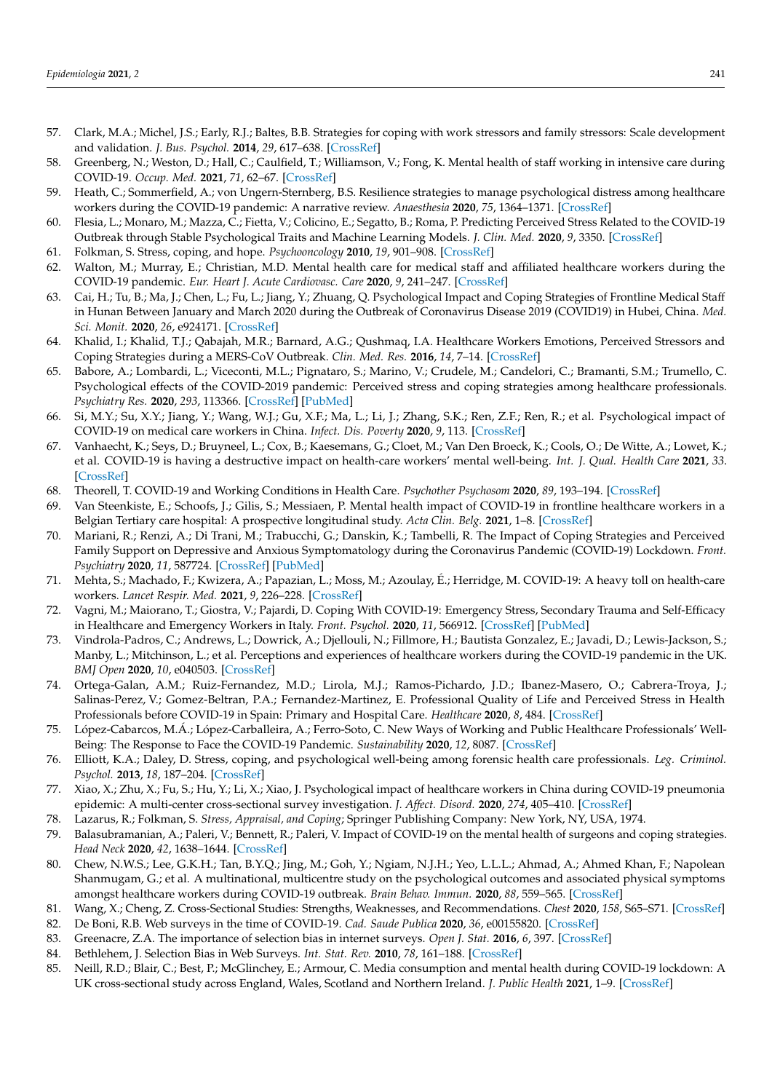- <span id="page-14-0"></span>57. Clark, M.A.; Michel, J.S.; Early, R.J.; Baltes, B.B. Strategies for coping with work stressors and family stressors: Scale development and validation. *J. Bus. Psychol.* **2014**, *29*, 617–638. [\[CrossRef\]](http://doi.org/10.1007/s10869-014-9356-7)
- <span id="page-14-1"></span>58. Greenberg, N.; Weston, D.; Hall, C.; Caulfield, T.; Williamson, V.; Fong, K. Mental health of staff working in intensive care during COVID-19. *Occup. Med.* **2021**, *71*, 62–67. [\[CrossRef\]](http://doi.org/10.1093/occmed/kqaa220)
- <span id="page-14-24"></span>59. Heath, C.; Sommerfield, A.; von Ungern-Sternberg, B.S. Resilience strategies to manage psychological distress among healthcare workers during the COVID-19 pandemic: A narrative review. *Anaesthesia* **2020**, *75*, 1364–1371. [\[CrossRef\]](http://doi.org/10.1111/anae.15180)
- <span id="page-14-6"></span>60. Flesia, L.; Monaro, M.; Mazza, C.; Fietta, V.; Colicino, E.; Segatto, B.; Roma, P. Predicting Perceived Stress Related to the COVID-19 Outbreak through Stable Psychological Traits and Machine Learning Models. *J. Clin. Med.* **2020**, *9*, 3350. [\[CrossRef\]](http://doi.org/10.3390/jcm9103350)
- <span id="page-14-2"></span>61. Folkman, S. Stress, coping, and hope. *Psychooncology* **2010**, *19*, 901–908. [\[CrossRef\]](http://doi.org/10.1002/pon.1836)
- <span id="page-14-3"></span>62. Walton, M.; Murray, E.; Christian, M.D. Mental health care for medical staff and affiliated healthcare workers during the COVID-19 pandemic. *Eur. Heart J. Acute Cardiovasc. Care* **2020**, *9*, 241–247. [\[CrossRef\]](http://doi.org/10.1177/2048872620922795)
- <span id="page-14-4"></span>63. Cai, H.; Tu, B.; Ma, J.; Chen, L.; Fu, L.; Jiang, Y.; Zhuang, Q. Psychological Impact and Coping Strategies of Frontline Medical Staff in Hunan Between January and March 2020 during the Outbreak of Coronavirus Disease 2019 (COVID19) in Hubei, China. *Med. Sci. Monit.* **2020**, *26*, e924171. [\[CrossRef\]](http://doi.org/10.12659/MSM.924171)
- <span id="page-14-5"></span>64. Khalid, I.; Khalid, T.J.; Qabajah, M.R.; Barnard, A.G.; Qushmaq, I.A. Healthcare Workers Emotions, Perceived Stressors and Coping Strategies during a MERS-CoV Outbreak. *Clin. Med. Res.* **2016**, *14*, 7–14. [\[CrossRef\]](http://doi.org/10.3121/cmr.2016.1303)
- <span id="page-14-7"></span>65. Babore, A.; Lombardi, L.; Viceconti, M.L.; Pignataro, S.; Marino, V.; Crudele, M.; Candelori, C.; Bramanti, S.M.; Trumello, C. Psychological effects of the COVID-2019 pandemic: Perceived stress and coping strategies among healthcare professionals. *Psychiatry Res.* **2020**, *293*, 113366. [\[CrossRef\]](http://doi.org/10.1016/j.psychres.2020.113366) [\[PubMed\]](http://www.ncbi.nlm.nih.gov/pubmed/32798932)
- <span id="page-14-8"></span>66. Si, M.Y.; Su, X.Y.; Jiang, Y.; Wang, W.J.; Gu, X.F.; Ma, L.; Li, J.; Zhang, S.K.; Ren, Z.F.; Ren, R.; et al. Psychological impact of COVID-19 on medical care workers in China. *Infect. Dis. Poverty* **2020**, *9*, 113. [\[CrossRef\]](http://doi.org/10.1186/s40249-020-00724-0)
- 67. Vanhaecht, K.; Seys, D.; Bruyneel, L.; Cox, B.; Kaesemans, G.; Cloet, M.; Van Den Broeck, K.; Cools, O.; De Witte, A.; Lowet, K.; et al. COVID-19 is having a destructive impact on health-care workers' mental well-being. *Int. J. Qual. Health Care* **2021**, *33*. [\[CrossRef\]](http://doi.org/10.1093/intqhc/mzaa158)
- <span id="page-14-9"></span>68. Theorell, T. COVID-19 and Working Conditions in Health Care. *Psychother Psychosom* **2020**, *89*, 193–194. [\[CrossRef\]](http://doi.org/10.1159/000507765)
- <span id="page-14-10"></span>69. Van Steenkiste, E.; Schoofs, J.; Gilis, S.; Messiaen, P. Mental health impact of COVID-19 in frontline healthcare workers in a Belgian Tertiary care hospital: A prospective longitudinal study. *Acta Clin. Belg.* **2021**, 1–8. [\[CrossRef\]](http://doi.org/10.1080/17843286.2021.1903660)
- <span id="page-14-11"></span>70. Mariani, R.; Renzi, A.; Di Trani, M.; Trabucchi, G.; Danskin, K.; Tambelli, R. The Impact of Coping Strategies and Perceived Family Support on Depressive and Anxious Symptomatology during the Coronavirus Pandemic (COVID-19) Lockdown. *Front. Psychiatry* **2020**, *11*, 587724. [\[CrossRef\]](http://doi.org/10.3389/fpsyt.2020.587724) [\[PubMed\]](http://www.ncbi.nlm.nih.gov/pubmed/33281647)
- <span id="page-14-12"></span>71. Mehta, S.; Machado, F.; Kwizera, A.; Papazian, L.; Moss, M.; Azoulay, É.; Herridge, M. COVID-19: A heavy toll on health-care workers. *Lancet Respir. Med.* **2021**, *9*, 226–228. [\[CrossRef\]](http://doi.org/10.1016/S2213-2600(21)00068-0)
- <span id="page-14-18"></span>72. Vagni, M.; Maiorano, T.; Giostra, V.; Pajardi, D. Coping With COVID-19: Emergency Stress, Secondary Trauma and Self-Efficacy in Healthcare and Emergency Workers in Italy. *Front. Psychol.* **2020**, *11*, 566912. [\[CrossRef\]](http://doi.org/10.3389/fpsyg.2020.566912) [\[PubMed\]](http://www.ncbi.nlm.nih.gov/pubmed/33013603)
- <span id="page-14-13"></span>73. Vindrola-Padros, C.; Andrews, L.; Dowrick, A.; Djellouli, N.; Fillmore, H.; Bautista Gonzalez, E.; Javadi, D.; Lewis-Jackson, S.; Manby, L.; Mitchinson, L.; et al. Perceptions and experiences of healthcare workers during the COVID-19 pandemic in the UK. *BMJ Open* **2020**, *10*, e040503. [\[CrossRef\]](http://doi.org/10.1136/bmjopen-2020-040503)
- <span id="page-14-14"></span>74. Ortega-Galan, A.M.; Ruiz-Fernandez, M.D.; Lirola, M.J.; Ramos-Pichardo, J.D.; Ibanez-Masero, O.; Cabrera-Troya, J.; Salinas-Perez, V.; Gomez-Beltran, P.A.; Fernandez-Martinez, E. Professional Quality of Life and Perceived Stress in Health Professionals before COVID-19 in Spain: Primary and Hospital Care. *Healthcare* **2020**, *8*, 484. [\[CrossRef\]](http://doi.org/10.3390/healthcare8040484)
- 75. López-Cabarcos, M.Á.; López-Carballeira, A.; Ferro-Soto, C. New Ways of Working and Public Healthcare Professionals' Well-Being: The Response to Face the COVID-19 Pandemic. *Sustainability* **2020**, *12*, 8087. [\[CrossRef\]](http://doi.org/10.3390/su12198087)
- 76. Elliott, K.A.; Daley, D. Stress, coping, and psychological well-being among forensic health care professionals. *Leg. Criminol. Psychol.* **2013**, *18*, 187–204. [\[CrossRef\]](http://doi.org/10.1111/j.2044-8333.2012.02045.x)
- <span id="page-14-15"></span>77. Xiao, X.; Zhu, X.; Fu, S.; Hu, Y.; Li, X.; Xiao, J. Psychological impact of healthcare workers in China during COVID-19 pneumonia epidemic: A multi-center cross-sectional survey investigation. *J. Affect. Disord.* **2020**, *274*, 405–410. [\[CrossRef\]](http://doi.org/10.1016/j.jad.2020.05.081)
- <span id="page-14-16"></span>78. Lazarus, R.; Folkman, S. *Stress, Appraisal, and Coping*; Springer Publishing Company: New York, NY, USA, 1974.
- <span id="page-14-17"></span>79. Balasubramanian, A.; Paleri, V.; Bennett, R.; Paleri, V. Impact of COVID-19 on the mental health of surgeons and coping strategies. *Head Neck* **2020**, *42*, 1638–1644. [\[CrossRef\]](http://doi.org/10.1002/hed.26291)
- <span id="page-14-19"></span>80. Chew, N.W.S.; Lee, G.K.H.; Tan, B.Y.Q.; Jing, M.; Goh, Y.; Ngiam, N.J.H.; Yeo, L.L.L.; Ahmad, A.; Ahmed Khan, F.; Napolean Shanmugam, G.; et al. A multinational, multicentre study on the psychological outcomes and associated physical symptoms amongst healthcare workers during COVID-19 outbreak. *Brain Behav. Immun.* **2020**, *88*, 559–565. [\[CrossRef\]](http://doi.org/10.1016/j.bbi.2020.04.049)
- <span id="page-14-20"></span>81. Wang, X.; Cheng, Z. Cross-Sectional Studies: Strengths, Weaknesses, and Recommendations. *Chest* **2020**, *158*, S65–S71. [\[CrossRef\]](http://doi.org/10.1016/j.chest.2020.03.012)
- <span id="page-14-21"></span>82. De Boni, R.B. Web surveys in the time of COVID-19. *Cad. Saude Publica* **2020**, *36*, e00155820. [\[CrossRef\]](http://doi.org/10.1590/0102-311x00155820)
- 83. Greenacre, Z.A. The importance of selection bias in internet surveys. *Open J. Stat.* **2016**, *6*, 397. [\[CrossRef\]](http://doi.org/10.4236/ojs.2016.63035)
- <span id="page-14-22"></span>84. Bethlehem, J. Selection Bias in Web Surveys. *Int. Stat. Rev.* **2010**, *78*, 161–188. [\[CrossRef\]](http://doi.org/10.1111/j.1751-5823.2010.00112.x)
- <span id="page-14-23"></span>85. Neill, R.D.; Blair, C.; Best, P.; McGlinchey, E.; Armour, C. Media consumption and mental health during COVID-19 lockdown: A UK cross-sectional study across England, Wales, Scotland and Northern Ireland. *J. Public Health* **2021**, 1–9. [\[CrossRef\]](http://doi.org/10.1007/s10389-021-01506-0)